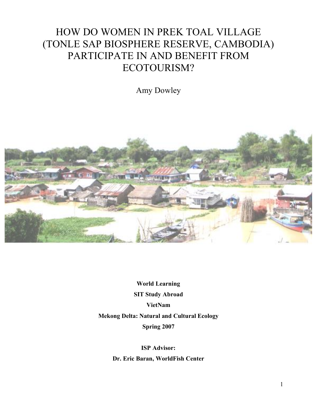# HOW DO WOMEN IN PREK TOAL VILLAGE (TONLE SAP BIOSPHERE RESERVE, CAMBODIA) PARTICIPATE IN AND BENEFIT FROM ECOTOURISM?

Amy Dowley



**World Learning SIT Study Abroad VietNam Mekong Delta: Natural and Cultural Ecology Spring 2007**

> **ISP Advisor: Dr. Eric Baran, WorldFish Center**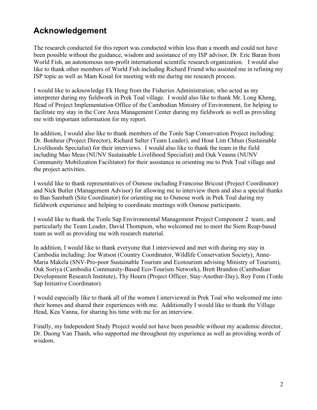# **Acknowledgement**

The research conducted for this report was conducted within less than a month and could not have been possible without the guidance, wisdom and assistance of my ISP advisor, Dr. Eric Baran from World Fish, an autonomous non-profit international scientific research organization. I would also like to thank other members of World Fish including Richard Friend who assisted me in refining my ISP topic as well as Mam Kosal for meeting with me during me research process.

I would like to acknowledge Ek Heng from the Fisheries Administration, who acted as my interpreter during my fieldwork in Prek Toal village. I would also like to thank Mr. Long Kheng, Head of Project Implementation Office of the Cambodian Ministry of Environment, for helping to facilitate my stay in the Core Area Management Center during my fieldwork as well as providing me with important information for my report.

In addition, I would also like to thank members of the Tonle Sap Conservation Project including: Dr. Bonheur (Project Director), Richard Salter (Team Leader), and Hour Lim Chhun (Sustainable Livelihoods Specialist) for their interviews. I would also like to thank the team in the field including Mao Meas (NUNV Sustainable Livelihood Specialist) and Ouk Veasna (NUNV Community Mobilization Facilitator) for their assistance in orienting me to Prek Toal village and the project activities.

I would like to thank representatives of Osmose including Francoise Bricout (Project Coordinator) and Nick Butler (Management Advisor) for allowing me to interview them and also a special thanks to Ban Sambath (Site Coordinator) for orienting me to Osmose work in Prek Toal during my fieldwork experience and helping to coordinate meetings with Osmose participants.

I would like to thank the Tonle Sap Environmental Management Project Component 2 team, and particularly the Team Leader, David Thompson, who welcomed me to meet the Siem Reap-based team as well as providing me with research material.

In addition, I would like to thank everyone that I interviewed and met with during my stay in Cambodia including: Joe Watson (Country Coordinator, Wildlife Conservation Society), Anne-Maria Makela (SNV-Pro-poor Sustainable Tourism and Ecotourism advising Ministry of Tourism), Ouk Soriya (Cambodia Community-Based Eco-Tourism Network), Brett Brandon (Cambodian Development Research Institute), Thy Hourn (Project Officer, Stay-Another-Day), Roy Fenn (Tonle Sap Initiative Coordinator).

I would especially like to thank all of the women I interviewed in Prek Toal who welcomed me into their homes and shared their experiences with me. Additionally I would like to thank the Village Head, Kea Vanna, for sharing his time with me for an interview.

Finally, my Independent Study Project would not have been possible without my academic director, Dr. Duong Van Thanh, who supported me throughout my experience as well as providing words of wisdom.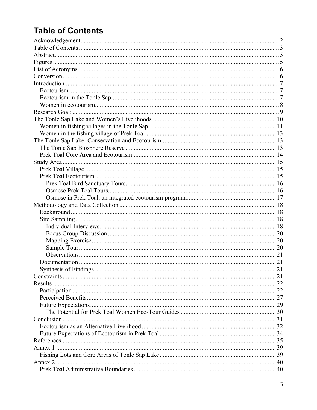# **Table of Contents**

| Results |  |
|---------|--|
|         |  |
|         |  |
|         |  |
|         |  |
|         |  |
|         |  |
|         |  |
|         |  |
|         |  |
|         |  |
|         |  |
|         |  |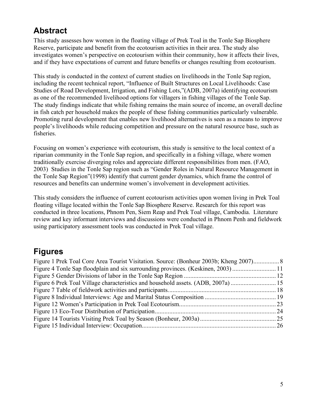# **Abstract**

This study assesses how women in the floating village of Prek Toal in the Tonle Sap Biosphere Reserve, participate and benefit from the ecotourism activities in their area. The study also investigates women's perspective on ecotourism within their community, how it affects their lives, and if they have expectations of current and future benefits or changes resulting from ecotourism.

This study is conducted in the context of current studies on livelihoods in the Tonle Sap region, including the recent technical report, "Influence of Built Structures on Local Livelihoods: Case Studies of Road Development, Irrigation, and Fishing Lots,"(ADB, 2007a) identifying ecotourism as one of the recommended livelihood options for villagers in fishing villages of the Tonle Sap. The study findings indicate that while fishing remains the main source of income, an overall decline in fish catch per household makes the people of these fishing communities particularly vulnerable. Promoting rural development that enables new livelihood alternatives is seen as a means to improve people's livelihoods while reducing competition and pressure on the natural resource base, such as fisheries.

Focusing on women's experience with ecotourism, this study is sensitive to the local context of a riparian community in the Tonle Sap region, and specifically in a fishing village, where women traditionally exercise diverging roles and appreciate different responsibilities from men. (FAO, 2003) Studies in the Tonle Sap region such as "Gender Roles in Natural Resource Management in the Tonle Sap Region"(1998) identify that current gender dynamics, which frame the control of resources and benefits can undermine women's involvement in development activities.

This study considers the influence of current ecotourism activities upon women living in Prek Toal floating village located within the Tonle Sap Biosphere Reserve. Research for this report was conducted in three locations, Phnom Pen, Siem Reap and Prek Toal village, Cambodia. Literature review and key informant interviews and discussions were conducted in Phnom Penh and fieldwork using participatory assessment tools was conducted in Prek Toal village.

# **Figures**

| Figure 4 Tonle Sap floodplain and six surrounding provinces. (Keskinen, 2003)11  |
|----------------------------------------------------------------------------------|
|                                                                                  |
| Figure 6 Prek Toal Village characteristics and household assets. (ADB, 2007a) 15 |
|                                                                                  |
|                                                                                  |
|                                                                                  |
|                                                                                  |
|                                                                                  |
|                                                                                  |
|                                                                                  |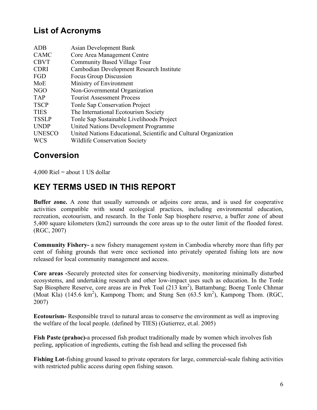# **List of Acronyms**

| ADB           | <b>Asian Development Bank</b>                                    |
|---------------|------------------------------------------------------------------|
| <b>CAMC</b>   | Core Area Management Centre                                      |
| <b>CBVT</b>   | Community Based Village Tour                                     |
| <b>CDRI</b>   | Cambodian Development Research Institute                         |
| FGD           | Focus Group Discussion                                           |
| MoE           | Ministry of Environment                                          |
| NGO           | Non-Governmental Organization                                    |
| <b>TAP</b>    | <b>Tourist Assessment Process</b>                                |
| <b>TSCP</b>   | <b>Tonle Sap Conservation Project</b>                            |
| <b>TIES</b>   | The International Ecotourism Society                             |
| <b>TSSLP</b>  | Tonle Sap Sustainable Livelihoods Project                        |
| <b>UNDP</b>   | United Nations Development Programme                             |
| <b>UNESCO</b> | United Nations Educational, Scientific and Cultural Organization |
| <b>WCS</b>    | <b>Wildlife Conservation Society</b>                             |
|               |                                                                  |

# **Conversion**

 $4,000$  Riel = about 1 US dollar

# **KEY TERMS USED IN THIS REPORT**

**Buffer zone.** A zone that usually surrounds or adjoins core areas, and is used for cooperative activities compatible with sound ecological practices, including environmental education, recreation, ecotourism, and research. In the Tonle Sap biosphere reserve, a buffer zone of about 5,400 square kilometers (km2) surrounds the core areas up to the outer limit of the flooded forest. (RGC, 2007)

**Community Fishery-** a new fishery management system in Cambodia whereby more than fifty per cent of fishing grounds that were once sectioned into privately operated fishing lots are now released for local community management and access.

**Core areas -**Securely protected sites for conserving biodiversity, monitoring minimally disturbed ecosystems, and undertaking research and other low-impact uses such as education. In the Tonle Sap Biosphere Reserve, core areas are in Prek Toal (213 km<sup>2</sup>), Battambang; Boeng Tonle Chhmar (Moat Kla)  $(145.6 \text{ km}^2)$ , Kampong Thom; and Stung Sen  $(63.5 \text{ km}^2)$ , Kampong Thom. (RGC, 2007)

**Ecotourism-** Responsible travel to natural areas to conserve the environment as well as improving the welfare of the local people. (defined by TIES) (Gutierrez, et.al. 2005)

**Fish Paste (prahoc)-**a processed fish product traditionally made by women which involves fish peeling, application of ingredients, cutting the fish head and selling the processed fish

**Fishing Lot**-fishing ground leased to private operators for large, commercial-scale fishing activities with restricted public access during open fishing season.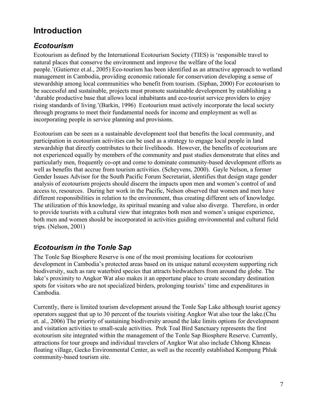# **Introduction**

### *Ecotourism*

Ecotourism as defined by the International Ecotourism Society (TIES) is 'responsible travel to natural places that conserve the environment and improve the welfare of the local people.'(Gutierrez et.al., 2005) Eco-tourism has been identified as an attractive approach to wetland management in Cambodia, providing economic rationale for conservation developing a sense of stewardship among local communities who benefit from tourism. (Siphan, 2000) For ecotourism to be successful and sustainable, projects must promote sustainable development by establishing a 'durable productive base that allows local inhabitants and eco-tourist service providers to enjoy rising standards of living.'(Barkin, 1996) Ecotourism must actively incorporate the local society through programs to meet their fundamental needs for income and employment as well as incorporating people in service planning and provisions.

Ecotourism can be seen as a sustainable development tool that benefits the local community, and participation in ecotourism activities can be used as a strategy to engage local people in land stewardship that directly contributes to their livelihoods. However, the benefits of ecotourism are not experienced equally by members of the community and past studies demonstrate that elites and particularly men, frequently co-opt and come to dominate community-based development efforts as well as benefits that accrue from tourism activities. (Scheyvens, 2000). Gayle Nelson, a former Gender Issues Advisor for the South Pacific Forum Secretariat, identifies that design stage gender analysis of ecotourism projects should discern the impacts upon men and women's control of and access to, resources. During her work in the Pacific, Nelson observed that women and men have different responsibilities in relation to the environment, thus creating different sets of knowledge. The utilization of this knowledge, its spiritual meaning and value also diverge. Therefore, in order to provide tourists with a cultural view that integrates both men and women's unique experience, both men and women should be incorporated in activities guiding environmental and cultural field trips. (Nelson, 2001)

# *Ecotourism in the Tonle Sap*

The Tonle Sap Biosphere Reserve is one of the most promising locations for ecotourism development in Cambodia's protected areas based on its unique natural ecosystem supporting rich biodiversity, such as rare waterbird species that attracts birdwatchers from around the globe. The lake's proximity to Angkor Wat also makes it an opportune place to create secondary destination spots for visitors who are not specialized birders, prolonging tourists' time and expenditures in Cambodia.

Currently, there is limited tourism development around the Tonle Sap Lake although tourist agency operators suggest that up to 30 percent of the tourists visiting Angkor Wat also tour the lake.(Chu et. al., 2006) The priority of sustaining biodiversity around the lake limits options for development and visitation activities to small-scale activities. Prek Toal Bird Sanctuary represents the first ecotourism site integrated within the management of the Tonle Sap Biosphere Reserve. Currently, attractions for tour groups and individual travelers of Angkor Wat also include Chhong Khneas floating village, Gecko Environmental Center, as well as the recently established Kompung Phluk community-based tourism site.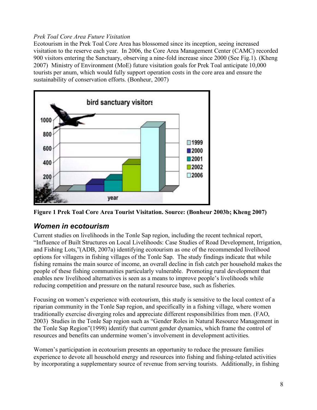#### *Prek Toal Core Area Future Visitation*

Ecotourism in the Prek Toal Core Area has blossomed since its inception, seeing increased visitation to the reserve each year. In 2006, the Core Area Management Center (CAMC) recorded 900 visitors entering the Sanctuary, observing a nine-fold increase since 2000 (See Fig.1). (Kheng 2007) Ministry of Environment (MoE) future visitation goals for Prek Toal anticipate 10,000 tourists per anum, which would fully support operation costs in the core area and ensure the sustainability of conservation efforts. (Bonheur, 2007)



**Figure 1 Prek Toal Core Area Tourist Visitation. Source: (Bonheur 2003b; Kheng 2007)**

### *Women in ecotourism*

Current studies on livelihoods in the Tonle Sap region, including the recent technical report, "Influence of Built Structures on Local Livelihoods: Case Studies of Road Development, Irrigation, and Fishing Lots,"(ADB, 2007a) identifying ecotourism as one of the recommended livelihood options for villagers in fishing villages of the Tonle Sap. The study findings indicate that while fishing remains the main source of income, an overall decline in fish catch per household makes the people of these fishing communities particularly vulnerable. Promoting rural development that enables new livelihood alternatives is seen as a means to improve people's livelihoods while reducing competition and pressure on the natural resource base, such as fisheries.

Focusing on women's experience with ecotourism, this study is sensitive to the local context of a riparian community in the Tonle Sap region, and specifically in a fishing village, where women traditionally exercise diverging roles and appreciate different responsibilities from men. (FAO, 2003) Studies in the Tonle Sap region such as "Gender Roles in Natural Resource Management in the Tonle Sap Region"(1998) identify that current gender dynamics, which frame the control of resources and benefits can undermine women's involvement in development activities.

Women's participation in ecotourism presents an opportunity to reduce the pressure families experience to devote all household energy and resources into fishing and fishing-related activities by incorporating a supplementary source of revenue from serving tourists. Additionally, in fishing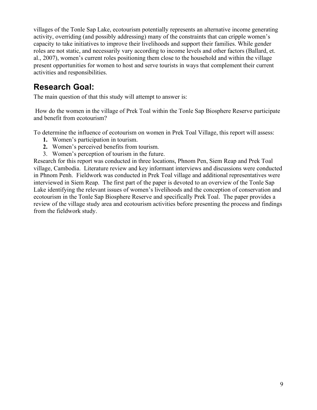villages of the Tonle Sap Lake, ecotourism potentially represents an alternative income generating activity, overriding (and possibly addressing) many of the constraints that can cripple women's capacity to take initiatives to improve their livelihoods and support their families. While gender roles are not static, and necessarily vary according to income levels and other factors (Ballard, et. al., 2007), women's current roles positioning them close to the household and within the village present opportunities for women to host and serve tourists in ways that complement their current activities and responsibilities.

# **Research Goal:**

The main question of that this study will attempt to answer is:

How do the women in the village of Prek Toal within the Tonle Sap Biosphere Reserve participate and benefit from ecotourism?

To determine the influence of ecotourism on women in Prek Toal Village, this report will assess:

- **1.** Women's participation in tourism.
- **2.** Women's perceived benefits from tourism.
- 3. Women's perception of tourism in the future.

Research for this report was conducted in three locations, Phnom Pen, Siem Reap and Prek Toal village, Cambodia. Literature review and key informant interviews and discussions were conducted in Phnom Penh. Fieldwork was conducted in Prek Toal village and additional representatives were interviewed in Siem Reap. The first part of the paper is devoted to an overview of the Tonle Sap Lake identifying the relevant issues of women's livelihoods and the conception of conservation and ecotourism in the Tonle Sap Biosphere Reserve and specifically Prek Toal. The paper provides a review of the village study area and ecotourism activities before presenting the process and findings from the fieldwork study.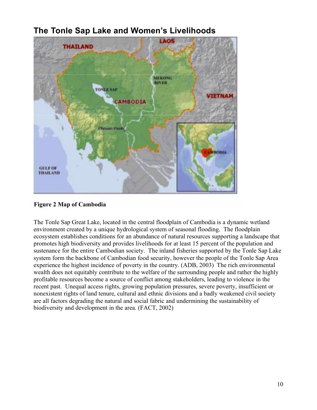

# **The Tonle Sap Lake and Women's Livelihoods**

**Figure 2 Map of Cambodia**

The Tonle Sap Great Lake, located in the central floodplain of Cambodia is a dynamic wetland environment created by a unique hydrological system of seasonal flooding. The floodplain ecosystem establishes conditions for an abundance of natural resources supporting a landscape that promotes high biodiversity and provides livelihoods for at least 15 percent of the population and sustenance for the entire Cambodian society. The inland fisheries supported by the Tonle Sap Lake system form the backbone of Cambodian food security, however the people of the Tonle Sap Area experience the highest incidence of poverty in the country. (ADB, 2003) The rich environmental wealth does not equitably contribute to the welfare of the surrounding people and rather the highly profitable resources become a source of conflict among stakeholders, leading to violence in the recent past. Unequal access rights, growing population pressures, severe poverty, insufficient or nonexistent rights of land tenure, cultural and ethnic divisions and a badly weakened civil society are all factors degrading the natural and social fabric and undermining the sustainability of biodiversity and development in the area. (FACT, 2002)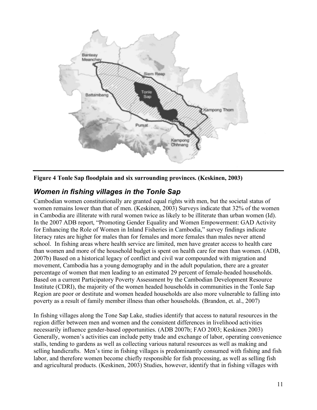



### *Women in fishing villages in the Tonle Sap*

Cambodian women constitutionally are granted equal rights with men, but the societal status of women remains lower than that of men. (Keskinen, 2003) Surveys indicate that 32% of the women in Cambodia are illiterate with rural women twice as likely to be illiterate than urban women (Id). In the 2007 ADB report, "Promoting Gender Equality and Women Empowerment: GAD Activity for Enhancing the Role of Women in Inland Fisheries in Cambodia," survey findings indicate literacy rates are higher for males than for females and more females than males never attend school. In fishing areas where health service are limited, men have greater access to health care than women and more of the household budget is spent on health care for men than women. (ADB, 2007b) Based on a historical legacy of conflict and civil war compounded with migration and movement, Cambodia has a young demography and in the adult population, there are a greater percentage of women that men leading to an estimated 29 percent of female-headed households. Based on a current Participatory Poverty Assessment by the Cambodian Development Resource Institute (CDRI), the majority of the women headed households in communities in the Tonle Sap Region are poor or destitute and women headed households are also more vulnerable to falling into poverty as a result of family member illness than other households. (Brandon, et. al., 2007)

In fishing villages along the Tone Sap Lake, studies identify that access to natural resources in the region differ between men and women and the consistent differences in livelihood activities necessarily influence gender-based opportunities. (ADB 2007b; FAO 2003; Keskinen 2003) Generally, women's activities can include petty trade and exchange of labor, operating convenience stalls, tending to gardens as well as collecting various natural resources as well as making and selling handicrafts. Men's time in fishing villages is predominantly consumed with fishing and fish labor, and therefore women become chiefly responsible for fish processing, as well as selling fish and agricultural products. (Keskinen, 2003) Studies, however, identify that in fishing villages with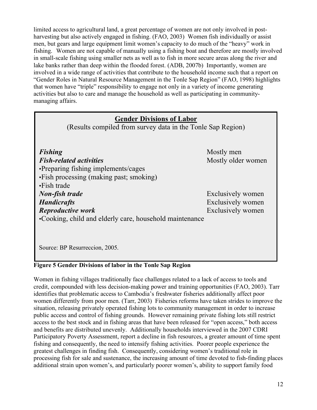limited access to agricultural land, a great percentage of women are not only involved in postharvesting but also actively engaged in fishing. (FAO, 2003) Women fish individually or assist men, but gears and large equipment limit women's capacity to do much of the "heavy" work in fishing. Women are not capable of manually using a fishing boat and therefore are mostly involved in small-scale fishing using smaller nets as well as to fish in more secure areas along the river and lake banks rather than deep within the flooded forest. (ADB, 2007b) Importantly, women are involved in a wide range of activities that contribute to the household income such that a report on "Gender Roles in Natural Resource Management in the Tonle Sap Region" (FAO, 1998) highlights that women have "triple" responsibility to engage not only in a variety of income generating activities but also to care and manage the household as well as participating in communitymanaging affairs.

### **Gender Divisions of Labor**

(Results compiled from survey data in the Tonle Sap Region)

**Fishing** Mostly men *Fish-related activities* Mostly older women •Preparing fishing implements/cages •Fish processing (making past; smoking) •Fish trade *Non-fish trade* Exclusively women *Handicrafts* Exclusively women *Reproductive work* Exclusively women •Cooking, child and elderly care, household maintenance

Source: BP Resurreccion, 2005.

#### **Figure 5 Gender Divisions of labor in the Tonle Sap Region**

Women in fishing villages traditionally face challenges related to a lack of access to tools and credit, compounded with less decision-making power and training opportunities (FAO, 2003). Tarr identifies that problematic access to Cambodia's freshwater fisheries additionally affect poor women differently from poor men. (Tarr, 2003) Fisheries reforms have taken strides to improve the situation, releasing privately operated fishing lots to community management in order to increase public access and control of fishing grounds. However remaining private fishing lots still restrict access to the best stock and in fishing areas that have been released for "open access," both access and benefits are distributed unevenly. Additionally households interviewed in the 2007 CDRI Participatory Poverty Assessment, report a decline in fish resources, a greater amount of time spent fishing and consequently, the need to intensify fishing activities. Poorer people experience the greatest challenges in finding fish. Consequently, considering women's traditional role in processing fish for sale and sustenance, the increasing amount of time devoted to fish-finding places additional strain upon women's, and particularly poorer women's, ability to support family food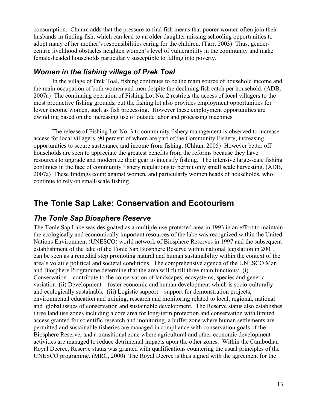consumption. Chuum adds that the pressure to find fish means that poorer women often join their husbands in finding fish, which can lead to an older daughter missing schooling opportunities to adopt many of her mother's responsibilities caring for the children. (Tarr, 2003) Thus, gendercentric livelihood obstacles heighten women's level of vulnerability in the community and make female-headed households particularly susceptible to falling into poverty.

### *Women in the fishing village of Prek Toal*

In the village of Prek Toal, fishing continues to be the main source of household income and the main occupation of both women and men despite the declining fish catch per household. (ADB, 2007a) The continuing operation of Fishing Lot No. 2 restricts the access of local villagers to the most productive fishing grounds, but the fishing lot also provides employment opportunities for lower income women, such as fish processing. However these employment opportunities are dwindling based on the increasing use of outside labor and processing machines.

The release of Fishing Lot No. 3 to community fishery management is observed to increase access for local villagers, 90 percent of whom are part of the Community Fishery, increasing opportunities to secure sustenance and income from fishing. (Chhun, 2005) However better off households are seen to appreciate the greatest benefits from the reforms because they have resources to upgrade and modernize their gear to intensify fishing. The intensive large-scale fishing continues in the face of community fishery regulations to permit only small scale harvesting. (ADB, 2007a) These findings count against women, and particularly women heads of households, who continue to rely on small-scale fishing.

# **The Tonle Sap Lake: Conservation and Ecotourism**

### *The Tonle Sap Biosphere Reserve*

The Tonle Sap Lake was designated as a multiple-use protected area in 1993 in an effort to maintain the ecologically and economically important resources of the lake was recognized within the United Nations Environment (UNESCO) world network of Biosphere Reserves in 1997 and the subsequent establishment of the lake of the Tonle Sap Biosphere Reserve within national legislation in 2001, can be seen as a remedial step promoting natural and human sustainability within the context of the area's volatile political and societal conditions. The comprehensive agenda of the UNESCO Man and Biosphere Programme determine that the area will fulfill three main functions: (i) Conservation—contribute to the conservation of landscapes, ecosystems, species and genetic variation (ii) Development—foster economic and human development which is socio-culturally and ecologically sustainable (iii) Logistic support—support for demonstration projects, environmental education and training, research and monitoring related to local, regional, national and global issues of conservation and sustainable development. The Reserve status also establishes three land use zones including a core area for long-term protection and conservation with limited access granted for scientific research and monitoring, a buffer zone where human settlements are permitted and sustainable fisheries are managed in compliance with conservation goals of the Biosphere Reserve, and a transitional zone where agricultural and other economic development activities are managed to reduce detrimental impacts upon the other zones. Within the Cambodian Royal Decree, Reserve status was granted with qualifications countering the usual principles of the UNESCO programme. (MRC, 2000) The Royal Decree is thus signed with the agreement for the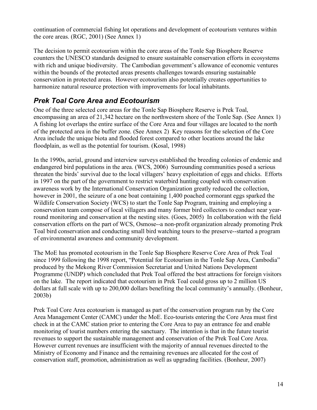continuation of commercial fishing lot operations and development of ecotourism ventures within the core areas. (RGC, 2001) (See Annex 1)

The decision to permit ecotourism within the core areas of the Tonle Sap Biosphere Reserve counters the UNESCO standards designed to ensure sustainable conservation efforts in ecosystems with rich and unique biodiversity. The Cambodian government's allowance of economic ventures within the bounds of the protected areas presents challenges towards ensuring sustainable conservation in protected areas. However ecotourism also potentially creates opportunities to harmonize natural resource protection with improvements for local inhabitants.

### *Prek Toal Core Area and Ecotourism*

One of the three selected core areas for the Tonle Sap Biosphere Reserve is Prek Toal, encompassing an area of 21,342 hectare on the northwestern shore of the Tonle Sap. (See Annex 1) A fishing lot overlaps the entire surface of the Core Area and four villages are located to the north of the protected area in the buffer zone. (See Annex 2) Key reasons for the selection of the Core Area include the unique biota and flooded forest compared to other locations around the lake floodplain, as well as the potential for tourism. (Kosal, 1998)

In the 1990s, aerial, ground and interview surveys established the breeding colonies of endemic and endangered bird populations in the area. (WCS, 2006) Surrounding communities posed a serious threaten the birds' survival due to the local villagers' heavy exploitation of eggs and chicks. Efforts in 1997 on the part of the government to restrict waterbird hunting coupled with conservation awareness work by the International Conservation Organization greatly reduced the collection, however in 2001, the seizure of a one boat containing 1,400 poached cormorant eggs sparked the Wildlife Conservation Society (WCS) to start the Tonle Sap Program, training and employing a conservation team compose of local villagers and many former bird collectors to conduct near yearround monitoring and conservation at the nesting sites. (Goes, 2005) In collaboration with the field conservation efforts on the part of WCS, Osmose--a non-profit organization already promoting Prek Toal bird conservation and conducting small bird watching tours to the preserve--started a program of environmental awareness and community development.

The MoE has promoted ecotourism in the Tonle Sap Biosphere Reserve Core Area of Prek Toal since 1999 following the 1998 report, "Potential for Ecotourism in the Tonle Sap Area, Cambodia" produced by the Mekong River Commission Secretariat and United Nations Development Programme (UNDP) which concluded that Prek Toal offered the best attractions for foreign visitors on the lake. The report indicated that ecotourism in Prek Toal could gross up to 2 million US dollars at full scale with up to 200,000 dollars benefiting the local community's annually. (Bonheur, 2003b)

Prek Toal Core Area ecotourism is managed as part of the conservation program run by the Core Area Management Center (CAMC) under the MoE. Eco-tourists entering the Core Area must first check in at the CAMC station prior to entering the Core Area to pay an entrance fee and enable monitoring of tourist numbers entering the sanctuary. The intention is that in the future tourist revenues to support the sustainable management and conservation of the Prek Toal Core Area. However current revenues are insufficient with the majority of annual revenues directed to the Ministry of Economy and Finance and the remaining revenues are allocated for the cost of conservation staff, promotion, administration as well as upgrading facilities. (Bonheur, 2007)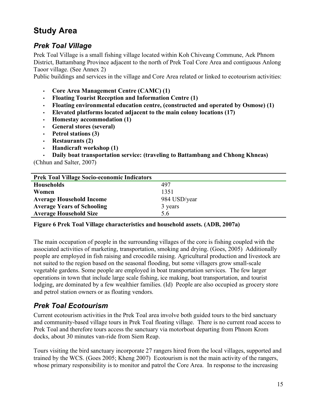# **Study Area**

### *Prek Toal Village*

Prek Toal Village is a small fishing village located within Koh Chiveang Commune, Aek Phnom District, Battambang Province adjacent to the north of Prek Toal Core Area and contiguous Anlong Taoor village. (See Annex 2)

Public buildings and services in the village and Core Area related or linked to ecotourism activities:

- **Core Area Management Centre (CAMC) (1)**
- **Floating Tourist Reception and Information Centre (1)**
- **Floating environmental education centre, (constructed and operated by Osmose) (1)**
- **Elevated platforms located adjacent to the main colony locations (17)**
- **Homestay accommodation (1)**
- **General stores (several)**
- **Petrol stations (3)**
- **Restaurants (2)**
- **Handicraft workshop (1)**

• **Daily boat transportation service: (traveling to Battambang and Chhong Khneas)** (Chhun and Salter, 2007)

| <b>Prek Toal Village Socio-economic Indicators</b> |              |  |  |
|----------------------------------------------------|--------------|--|--|
| <b>Households</b>                                  | 497          |  |  |
| Women                                              | 1351         |  |  |
| <b>Average Household Income</b>                    | 984 USD/year |  |  |
| <b>Average Years of Schooling</b>                  | 3 years      |  |  |
| <b>Average Household Size</b>                      | 56           |  |  |

**Figure 6 Prek Toal Village characteristics and household assets. (ADB, 2007a)**

The main occupation of people in the surrounding villages of the core is fishing coupled with the associated activities of marketing, transportation, smoking and drying. (Goes, 2005) Additionally people are employed in fish raising and crocodile raising. Agricultural production and livestock are not suited to the region based on the seasonal flooding, but some villagers grow small-scale vegetable gardens. Some people are employed in boat transportation services. The few larger operations in town that include large scale fishing, ice making, boat transportation, and tourist lodging, are dominated by a few wealthier families. (Id) People are also occupied as grocery store and petrol station owners or as floating vendors.

### *Prek Toal Ecotourism*

Current ecotourism activities in the Prek Toal area involve both guided tours to the bird sanctuary and community-based village tours in Prek Toal floating village. There is no current road access to Prek Toal and therefore tours access the sanctuary via motorboat departing from Phnom Krom docks, about 30 minutes van-ride from Siem Reap.

Tours visiting the bird sanctuary incorporate 27 rangers hired from the local villages, supported and trained by the WCS. (Goes 2005; Kheng 2007) Ecotourism is not the main activity of the rangers, whose primary responsibility is to monitor and patrol the Core Area. In response to the increasing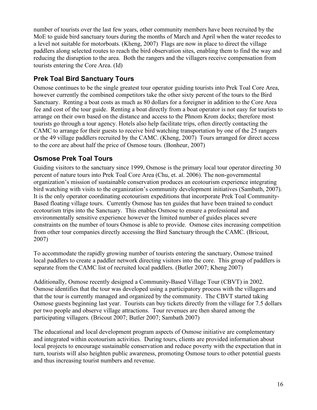number of tourists over the last few years, other community members have been recruited by the MoE to guide bird sanctuary tours during the months of March and April when the water recedes to a level not suitable for motorboats. (Kheng, 2007) Flags are now in place to direct the village paddlers along selected routes to reach the bird observation sites, enabling them to find the way and reducing the disruption to the area. Both the rangers and the villagers receive compensation from tourists entering the Core Area. (Id)

### **Prek Toal Bird Sanctuary Tours**

Osmose continues to be the single greatest tour operator guiding tourists into Prek Toal Core Area, however currently the combined competitors take the other sixty percent of the tours to the Bird Sanctuary. Renting a boat costs as much as 80 dollars for a foreigner in addition to the Core Area fee and cost of the tour guide. Renting a boat directly from a boat operator is not easy for tourists to arrange on their own based on the distance and access to the Phnom Krom docks; therefore most tourists go through a tour agency. Hotels also help facilitate trips, often directly contacting the CAMC to arrange for their guests to receive bird watching transportation by one of the 25 rangers or the 49 village paddlers recruited by the CAMC. (Kheng, 2007) Tours arranged for direct access to the core are about half the price of Osmose tours. (Bonheur, 2007)

### **Osmose Prek Toal Tours**

Guiding visitors to the sanctuary since 1999, Osmose is the primary local tour operator directing 30 percent of nature tours into Prek Toal Core Area (Chu, et. al. 2006). The non-governmental organization's mission of sustainable conservation produces an ecotourism experience integrating bird watching with visits to the organization's community development initiatives (Sambath, 2007). It is the only operator coordinating ecotourism expeditions that incorporate Prek Toal Community-Based floating village tours. Currently Osmose has ten guides that have been trained to conduct ecotourism trips into the Sanctuary. This enables Osmose to ensure a professional and environmentally sensitive experience however the limited number of guides places severe constraints on the number of tours Osmose is able to provide. Osmose cites increasing competition from other tour companies directly accessing the Bird Sanctuary through the CAMC. (Bricout, 2007)

To accommodate the rapidly growing number of tourists entering the sanctuary, Osmose trained local paddlers to create a paddler network directing visitors into the core. This group of paddlers is separate from the CAMC list of recruited local paddlers. (Butler 2007; Kheng 2007)

Additionally, Osmose recently designed a Community-Based Village Tour (CBVT) in 2002. Osmose identifies that the tour was developed using a participatory process with the villagers and that the tour is currently managed and organized by the community. The CBVT started taking Osmose guests beginning last year. Tourists can buy tickets directly from the village for 7.5 dollars per two people and observe village attractions. Tour revenues are then shared among the participating villagers. (Bricout 2007; Butler 2007; Sambath 2007)

The educational and local development program aspects of Osmose initiative are complementary and integrated within ecotourism activities. During tours, clients are provided information about local projects to encourage sustainable conservation and reduce poverty with the expectation that in turn, tourists will also heighten public awareness, promoting Osmose tours to other potential guests and thus increasing tourist numbers and revenue.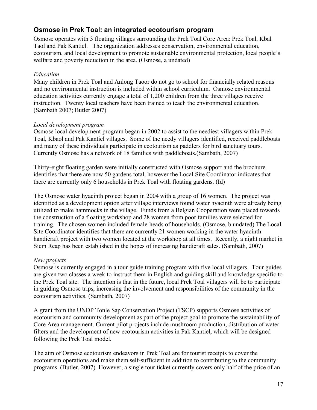### **Osmose in Prek Toal: an integrated ecotourism program**

Osmose operates with 3 floating villages surrounding the Prek Toal Core Area: Prek Toal, Kbal Taol and Pak Kantiel. The organization addresses conservation, environmental education, ecotourism, and local development to promote sustainable environmental protection, local people's welfare and poverty reduction in the area. (Osmose, a undated)

#### *Education*

Many children in Prek Toal and Anlong Taoor do not go to school for financially related reasons and no environmental instruction is included within school curriculum. Osmose environmental education activities currently engage a total of 1,200 children from the three villages receive instruction. Twenty local teachers have been trained to teach the environmental education. (Sambath 2007; Butler 2007)

#### *Local development program*

Osmose local development program began in 2002 to assist to the neediest villagers within Prek Toal, Kbaol and Pak Kantiel villages. Some of the needy villagers identified, received paddleboats and many of these individuals participate in ecotourism as paddlers for bird sanctuary tours. Currently Osmose has a network of 18 families with paddleboats.(Sambath, 2007)

Thirty-eight floating garden were initially constructed with Osmose support and the brochure identifies that there are now 50 gardens total, however the Local Site Coordinator indicates that there are currently only 6 households in Prek Toal with floating gardens. (Id)

The Osmose water hyacinth project began in 2004 with a group of 16 women. The project was identified as a development option after village interviews found water hyacinth were already being utilized to make hammocks in the village. Funds from a Belgian Cooperation were placed towards the construction of a floating workshop and 28 women from poor families were selected for training. The chosen women included female-heads of households. (Osmose, b undated) The Local Site Coordinator identifies that there are currently 21 women working in the water hyacinth handicraft project with two women located at the workshop at all times. Recently, a night market in Siem Reap has been established in the hopes of increasing handicraft sales. (Sambath, 2007)

#### *New projects*

Osmose is currently engaged in a tour guide training program with five local villagers. Tour guides are given two classes a week to instruct them in English and guiding skill and knowledge specific to the Prek Toal site. The intention is that in the future, local Prek Toal villagers will be to participate in guiding Osmose trips, increasing the involvement and responsibilities of the community in the ecotourism activities. (Sambath, 2007)

A grant from the UNDP Tonle Sap Conservation Project (TSCP) supports Osmose activities of ecotourism and community development as part of the project goal to promote the sustainability of Core Area management. Current pilot projects include mushroom production, distribution of water filters and the development of new ecotourism activities in Pak Kantiel, which will be designed following the Prek Toal model.

The aim of Osmose ecotourism endeavors in Prek Toal are for tourist receipts to cover the ecotourism operations and make them self-sufficient in addition to contributing to the community programs. (Butler, 2007) However, a single tour ticket currently covers only half of the price of an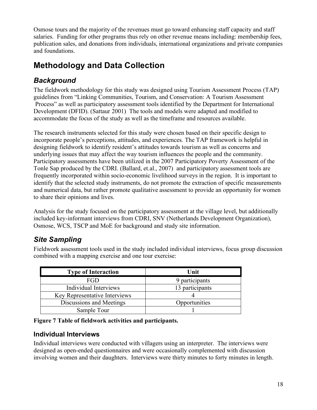Osmose tours and the majority of the revenues must go toward enhancing staff capacity and staff salaries. Funding for other programs thus rely on other revenue means including: membership fees, publication sales, and donations from individuals, international organizations and private companies and foundations.

# **Methodology and Data Collection**

# *Background*

The fieldwork methodology for this study was designed using Tourism Assessment Process (TAP) guidelines from "Linking Communities, Tourism, and Conservation: A Tourism Assessment Process" as well as participatory assessment tools identified by the Department for International Development (DFID). (Sattaur 2001) The tools and models were adapted and modified to accommodate the focus of the study as well as the timeframe and resources available.

The research instruments selected for this study were chosen based on their specific design to incorporate people's perceptions, attitudes, and experiences. The TAP framework is helpful in designing fieldwork to identify resident's attitudes towards tourism as well as concerns and underlying issues that may affect the way tourism influences the people and the community. Participatory assessments have been utilized in the 2007 Participatory Poverty Assessment of the Tonle Sap produced by the CDRI. (Ballard, et.al., 2007) and participatory assessment tools are frequently incorporated within socio-economic livelihood surveys in the region. It is important to identify that the selected study instruments, do not promote the extraction of specific measurements and numerical data, but rather promote qualitative assessment to provide an opportunity for women to share their opinions and lives.

Analysis for the study focused on the participatory assessment at the village level, but additionally included key-informant interviews from CDRI, SNV (Netherlands Development Organization), Osmose, WCS, TSCP and MoE for background and study site information.

# *Site Sampling*

Fieldwork assessment tools used in the study included individual interviews, focus group discussion combined with a mapping exercise and one tour exercise:

| <b>Type of Interaction</b>    | Unit            |
|-------------------------------|-----------------|
| <b>FGD</b>                    | 9 participants  |
| Individual Interviews         | 13 participants |
| Key Representative Interviews |                 |
| Discussions and Meetings      | Opportunities   |
| Sample Tour                   |                 |

**Figure 7 Table of fieldwork activities and participants.**

### **Individual Interviews**

Individual interviews were conducted with villagers using an interpreter. The interviews were designed as open-ended questionnaires and were occasionally complemented with discussion involving women and their daughters. Interviews were thirty minutes to forty minutes in length.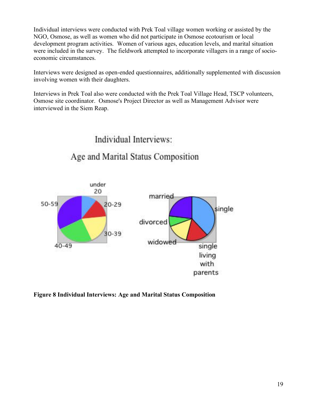Individual interviews were conducted with Prek Toal village women working or assisted by the NGO, Osmose, as well as women who did not participate in Osmose ecotourism or local development program activities. Women of various ages, education levels, and marital situation were included in the survey. The fieldwork attempted to incorporate villagers in a range of socioeconomic circumstances.

Interviews were designed as open-ended questionnaires, additionally supplemented with discussion involving women with their daughters.

Interviews in Prek Toal also were conducted with the Prek Toal Village Head, TSCP volunteers, Osmose site coordinator. Osmose's Project Director as well as Management Advisor were interviewed in the Siem Reap.

# Individual Interviews:

# Age and Marital Status Composition



**Figure 8 Individual Interviews: Age and Marital Status Composition**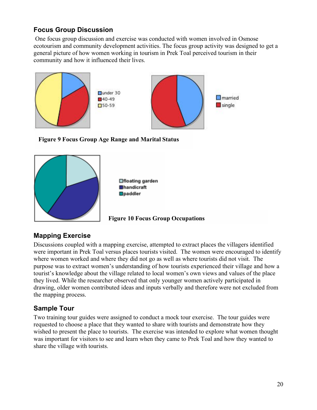### **Focus Group Discussion**

One focus group discussion and exercise was conducted with women involved in Osmose ecotourism and community development activities. The focus group activity was designed to get a general picture of how women working in tourism in Prek Toal perceived tourism in their community and how it influenced their lives.







□floating garden **Ehandicraft Opaddler** 

**Figure 10 Focus Group Occupations**

### **Mapping Exercise**

Discussions coupled with a mapping exercise, attempted to extract places the villagers identified were important in Prek Toal versus places tourists visited. The women were encouraged to identify where women worked and where they did not go as well as where tourists did not visit. The purpose was to extract women's understanding of how tourists experienced their village and how a tourist's knowledge about the village related to local women's own views and values of the place they lived. While the researcher observed that only younger women actively participated in drawing, older women contributed ideas and inputs verbally and therefore were not excluded from the mapping process.

### **Sample Tour**

Two training tour guides were assigned to conduct a mock tour exercise. The tour guides were requested to choose a place that they wanted to share with tourists and demonstrate how they wished to present the place to tourists. The exercise was intended to explore what women thought was important for visitors to see and learn when they came to Prek Toal and how they wanted to share the village with tourists.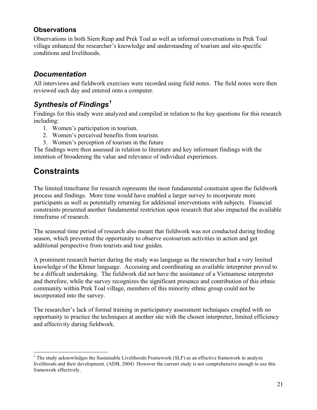### **Observations**

Observations in both Siem Reap and Prek Toal as well as informal conversations in Prek Toal village enhanced the researcher's knowledge and understanding of tourism and site-specific conditions and livelihoods.

### *Documentation*

All interviews and fieldwork exercises were recorded using field notes. The field notes were then reviewed each day and entered onto a computer.

# *Synthesis of Findings<sup>1</sup>*

Findings for this study were analyzed and compiled in relation to the key questions for this research including:

- 1. Women's participation in tourism.
- 2. Women's perceived benefits from tourism.
- 3. Women's perception of tourism in the future

The findings were then assessed in relation to literature and key informant findings with the intention of broadening the value and relevance of individual experiences.

# **Constraints**

The limited timeframe for research represents the most fundamental constraint upon the fieldwork process and findings. More time would have enabled a larger survey to incorporate more participants as well as potentially returning for additional interventions with subjects. Financial constraints presented another fundamental restriction upon research that also impacted the available timeframe of research.

The seasonal time period of research also meant that fieldwork was not conducted during birding season, which prevented the opportunity to observe ecotourism activities in action and get additional perspective from tourists and tour guides.

A prominent research barrier during the study was language as the researcher had a very limited knowledge of the Khmer language. Accessing and coordinating an available interpreter proved to be a difficult undertaking. The fieldwork did not have the assistance of a Vietnamese interpreter and therefore, while the survey recognizes the significant presence and contribution of this ethnic community within Prek Toal village, members of this minority ethnic group could not be incorporated into the survey.

The researcher's lack of formal training in participatory assessment techniques coupled with no opportunity to practice the techniques at another site with the chosen interpreter, limited efficiency and affectivity during fieldwork.

 $1$  The study acknowledges the Sustainable Livelihoods Framework (SLF) as an effective framework to analyze livelihoods and their development. (ADB, 2004) However the current study is not comprehensive enough to use this framework effectively.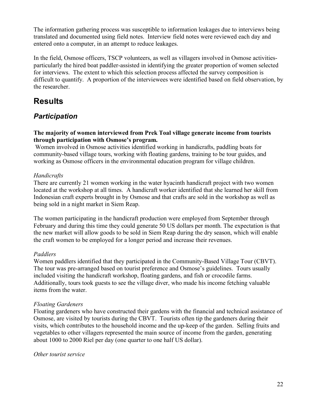The information gathering process was susceptible to information leakages due to interviews being translated and documented using field notes. Interview field notes were reviewed each day and entered onto a computer, in an attempt to reduce leakages.

In the field, Osmose officers, TSCP volunteers, as well as villagers involved in Osmose activitiesparticularly the hired boat paddler-assisted in identifying the greater proportion of women selected for interviews. The extent to which this selection process affected the survey composition is difficult to quantify. A proportion of the interviewees were identified based on field observation, by the researcher.

# **Results**

# *Participation*

**The majority of women interviewed from Prek Toal village generate income from tourists through participation with Osmose's program.**

Women involved in Osmose activities identified working in handicrafts, paddling boats for community-based village tours, working with floating gardens, training to be tour guides, and working as Osmose officers in the environmental education program for village children.

#### *Handicrafts*

There are currently 21 women working in the water hyacinth handicraft project with two women located at the workshop at all times. A handicraft worker identified that she learned her skill from Indonesian craft experts brought in by Osmose and that crafts are sold in the workshop as well as being sold in a night market in Siem Reap.

The women participating in the handicraft production were employed from September through February and during this time they could generate 50 US dollars per month. The expectation is that the new market will allow goods to be sold in Siem Reap during the dry season, which will enable the craft women to be employed for a longer period and increase their revenues.

#### *Paddlers*

Women paddlers identified that they participated in the Community-Based Village Tour (CBVT). The tour was pre-arranged based on tourist preference and Osmose's guidelines. Tours usually included visiting the handicraft workshop, floating gardens, and fish or crocodile farms. Additionally, tours took guests to see the village diver, who made his income fetching valuable items from the water.

#### *Floating Gardeners*

Floating gardeners who have constructed their gardens with the financial and technical assistance of Osmose, are visited by tourists during the CBVT. Tourists often tip the gardeners during their visits, which contributes to the household income and the up-keep of the garden. Selling fruits and vegetables to other villagers represented the main source of income from the garden, generating about 1000 to 2000 Riel per day (one quarter to one half US dollar).

#### *Other tourist service*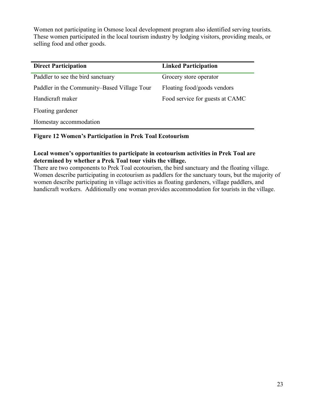Women not participating in Osmose local development program also identified serving tourists. These women participated in the local tourism industry by lodging visitors, providing meals, or selling food and other goods.

| <b>Direct Participation</b>                 | <b>Linked Participation</b>     |
|---------------------------------------------|---------------------------------|
| Paddler to see the bird sanctuary           | Grocery store operator          |
| Paddler in the Community–Based Village Tour | Floating food/goods vendors     |
| Handicraft maker                            | Food service for guests at CAMC |
| Floating gardener                           |                                 |
| Homestay accommodation                      |                                 |

#### **Figure 12 Women's Participation in Prek Toal Ecotourism**

#### **Local women's opportunities to participate in ecotourism activities in Prek Toal are determined by whether a Prek Toal tour visits the village.**

There are two components to Prek Toal ecotourism, the bird sanctuary and the floating village. Women describe participating in ecotourism as paddlers for the sanctuary tours, but the majority of women describe participating in village activities as floating gardeners, village paddlers, and handicraft workers. Additionally one woman provides accommodation for tourists in the village.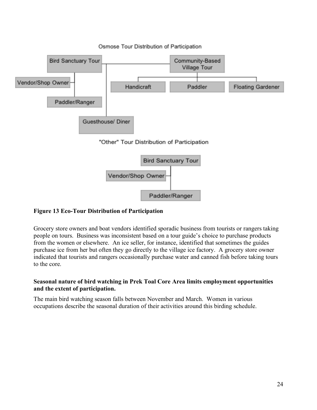

#### Osmose Tour Distribution of Participation

#### **Figure 13 Eco-Tour Distribution of Participation**

Grocery store owners and boat vendors identified sporadic business from tourists or rangers taking people on tours. Business was inconsistent based on a tour guide's choice to purchase products from the women or elsewhere. An ice seller, for instance, identified that sometimes the guides purchase ice from her but often they go directly to the village ice factory. A grocery store owner indicated that tourists and rangers occasionally purchase water and canned fish before taking tours to the core.

#### **Seasonal nature of bird watching in Prek Toal Core Area limits employment opportunities and the extent of participation.**

The main bird watching season falls between November and March. Women in various occupations describe the seasonal duration of their activities around this birding schedule.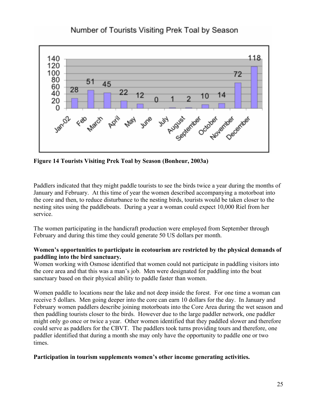

### Number of Tourists Visiting Prek Toal by Season

**Figure 14 Tourists Visiting Prek Toal by Season (Bonheur, 2003a)**

Paddlers indicated that they might paddle tourists to see the birds twice a year during the months of January and February. At this time of year the women described accompanying a motorboat into the core and then, to reduce disturbance to the nesting birds, tourists would be taken closer to the nesting sites using the paddleboats. During a year a woman could expect 10,000 Riel from her service.

The women participating in the handicraft production were employed from September through February and during this time they could generate 50 US dollars per month.

#### **Women's opportunities to participate in ecotourism are restricted by the physical demands of paddling into the bird sanctuary.**

Women working with Osmose identified that women could not participate in paddling visitors into the core area and that this was a man's job. Men were designated for paddling into the boat sanctuary based on their physical ability to paddle faster than women.

Women paddle to locations near the lake and not deep inside the forest. For one time a woman can receive 5 dollars. Men going deeper into the core can earn 10 dollars for the day. In January and February women paddlers describe joining motorboats into the Core Area during the wet season and then paddling tourists closer to the birds. However due to the large paddler network, one paddler might only go once or twice a year. Other women identified that they paddled slower and therefore could serve as paddlers for the CBVT. The paddlers took turns providing tours and therefore, one paddler identified that during a month she may only have the opportunity to paddle one or two times.

#### **Participation in tourism supplements women's other income generating activities.**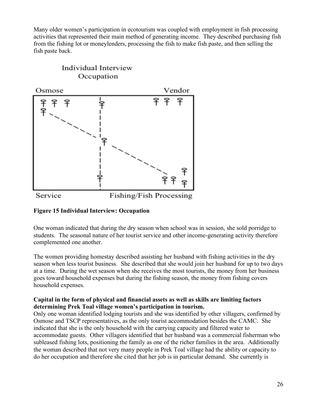Many older women's participation in ecotourism was coupled with employment in fish processing activities that represented their main method of generating income. They described purchasing fish from the fishing lot or moneylenders, processing the fish to make fish paste, and then selling the fish paste back.



#### **Figure 15 Individual Interview: Occupation**

One woman indicated that during the dry season when school was in session, she sold porridge to students. The seasonal nature of her tourist service and other income-generating activity therefore complemented one another.

The women providing homestay described assisting her husband with fishing activities in the dry season when less tourist business. She described that she would join her husband for up to two days at a time. During the wet season when she receives the most tourists, the money from her business goes toward household expenses but during the fishing season, the money from fishing covers household expenses.

#### **Capital in the form of physical and financial assets as well as skills are limiting factors determining Prek Toal village women's participation in tourism.**

Only one woman identified lodging tourists and she was identified by other villagers, confirmed by Osmose and TSCP representatives, as the only tourist accommodation besides the CAMC. She indicated that she is the only household with the carrying capacity and filtered water to accommodate guests. Other villagers identified that her husband was a commercial fisherman who subleased fishing lots, positioning the family as one of the richer families in the area. Additionally the woman described that not very many people in Prek Toal village had the ability or capacity to do her occupation and therefore she cited that her job is in particular demand. She currently is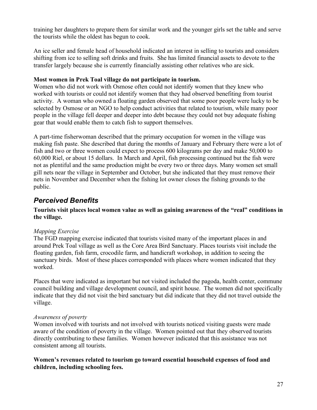training her daughters to prepare them for similar work and the younger girls set the table and serve the tourists while the oldest has begun to cook.

An ice seller and female head of household indicated an interest in selling to tourists and considers shifting from ice to selling soft drinks and fruits. She has limited financial assets to devote to the transfer largely because she is currently financially assisting other relatives who are sick.

#### **Most women in Prek Toal village do not participate in tourism.**

Women who did not work with Osmose often could not identify women that they knew who worked with tourists or could not identify women that they had observed benefiting from tourist activity. A woman who owned a floating garden observed that some poor people were lucky to be selected by Osmose or an NGO to help conduct activities that related to tourism, while many poor people in the village fell deeper and deeper into debt because they could not buy adequate fishing gear that would enable them to catch fish to support themselves.

A part-time fisherwoman described that the primary occupation for women in the village was making fish paste. She described that during the months of January and February there were a lot of fish and two or three women could expect to process 600 kilograms per day and make 50,000 to 60,000 Riel, or about 15 dollars. In March and April, fish processing continued but the fish were not as plentiful and the same production might be every two or three days. Many women set small gill nets near the village in September and October, but she indicated that they must remove their nets in November and December when the fishing lot owner closes the fishing grounds to the public.

### *Perceived Benefits*

**Tourists visit places local women value as well as gaining awareness of the "real" conditions in the village.**

#### *Mapping Exercise*

The FGD mapping exercise indicated that tourists visited many of the important places in and around Prek Toal village as well as the Core Area Bird Sanctuary. Places tourists visit include the floating garden, fish farm, crocodile farm, and handicraft workshop, in addition to seeing the sanctuary birds. Most of these places corresponded with places where women indicated that they worked.

Places that were indicated as important but not visited included the pagoda, health center, commune council building and village development council, and spirit house. The women did not specifically indicate that they did not visit the bird sanctuary but did indicate that they did not travel outside the village.

#### *Awareness of poverty*

Women involved with tourists and not involved with tourists noticed visiting guests were made aware of the condition of poverty in the village. Women pointed out that they observed tourists directly contributing to these families. Women however indicated that this assistance was not consistent among all tourists.

**Women's revenues related to tourism go toward essential household expenses of food and children, including schooling fees.**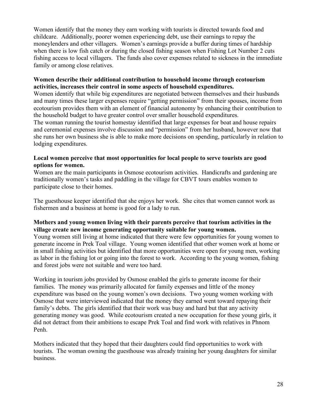Women identify that the money they earn working with tourists is directed towards food and childcare. Additionally, poorer women experiencing debt, use their earnings to repay the moneylenders and other villagers. Women's earnings provide a buffer during times of hardship when there is low fish catch or during the closed fishing season when Fishing Lot Number 2 cuts fishing access to local villagers. The funds also cover expenses related to sickness in the immediate family or among close relatives.

#### **Women describe their additional contribution to household income through ecotourism activities, increases their control in some aspects of household expenditures.**

Women identify that while big expenditures are negotiated between themselves and their husbands and many times these larger expenses require "getting permission" from their spouses, income from ecotourism provides them with an element of financial autonomy by enhancing their contribution to the household budget to have greater control over smaller household expenditures.

The woman running the tourist homestay identified that large expenses for boat and house repairs and ceremonial expenses involve discussion and "permission" from her husband, however now that she runs her own business she is able to make more decisions on spending, particularly in relation to lodging expenditures.

#### **Local women perceive that most opportunities for local people to serve tourists are good options for women.**

Women are the main participants in Osmose ecotourism activities. Handicrafts and gardening are traditionally women's tasks and paddling in the village for CBVT tours enables women to participate close to their homes.

The guesthouse keeper identified that she enjoys her work. She cites that women cannot work as fishermen and a business at home is good for a lady to run.

#### **Mothers and young women living with their parents perceive that tourism activities in the village create new income generating opportunity suitable for young women.**

Young women still living at home indicated that there were few opportunities for young women to generate income in Prek Toal village. Young women identified that other women work at home or in small fishing activities but identified that more opportunities were open for young men, working as labor in the fishing lot or going into the forest to work. According to the young women, fishing and forest jobs were not suitable and were too hard.

Working in tourism jobs provided by Osmose enabled the girls to generate income for their families. The money was primarily allocated for family expenses and little of the money expenditure was based on the young women's own decisions. Two young women working with Osmose that were interviewed indicated that the money they earned went toward repaying their family's debts. The girls identified that their work was busy and hard but that any activity generating money was good. While ecotourism created a new occupation for these young girls, it did not detract from their ambitions to escape Prek Toal and find work with relatives in Phnom Penh.

Mothers indicated that they hoped that their daughters could find opportunities to work with tourists. The woman owning the guesthouse was already training her young daughters for similar business.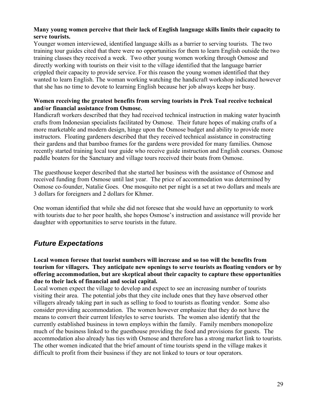#### **Many young women perceive that their lack of English language skills limits their capacity to serve tourists.**

Younger women interviewed, identified language skills as a barrier to serving tourists. The two training tour guides cited that there were no opportunities for them to learn English outside the two training classes they received a week. Two other young women working through Osmose and directly working with tourists on their visit to the village identified that the language barrier crippled their capacity to provide service. For this reason the young women identified that they wanted to learn English. The woman working watching the handicraft workshop indicated however that she has no time to devote to learning English because her job always keeps her busy.

#### **Women receiving the greatest benefits from serving tourists in Prek Toal receive technical and/or financial assistance from Osmose.**

Handicraft workers described that they had received technical instruction in making water hyacinth crafts from Indonesian specialists facilitated by Osmose. Their future hopes of making crafts of a more marketable and modern design, hinge upon the Osmose budget and ability to provide more instructors. Floating gardeners described that they received technical assistance in constructing their gardens and that bamboo frames for the gardens were provided for many families. Osmose recently started training local tour guide who receive guide instruction and English courses. Osmose paddle boaters for the Sanctuary and village tours received their boats from Osmose.

The guesthouse keeper described that she started her business with the assistance of Osmose and received funding from Osmose until last year. The price of accommodation was determined by Osmose co-founder, Natalie Goes. One mosquito net per night is a set at two dollars and meals are 3 dollars for foreigners and 2 dollars for Khmer.

One woman identified that while she did not foresee that she would have an opportunity to work with tourists due to her poor health, she hopes Osmose's instruction and assistance will provide her daughter with opportunities to serve tourists in the future.

### *Future Expectations*

**Local women foresee that tourist numbers will increase and so too will the benefits from tourism for villagers. They anticipate new openings to serve tourists as floating vendors or by offering accommodation, but are skeptical about their capacity to capture these opportunities due to their lack of financial and social capital.**

Local women expect the village to develop and expect to see an increasing number of tourists visiting their area. The potential jobs that they cite include ones that they have observed other villagers already taking part in such as selling to food to tourists as floating vendor. Some also consider providing accommodation. The women however emphasize that they do not have the means to convert their current lifestyles to serve tourists. The women also identify that the currently established business in town employs within the family. Family members monopolize much of the business linked to the guesthouse providing the food and provisions for guests. The accommodation also already has ties with Osmose and therefore has a strong market link to tourists. The other women indicated that the brief amount of time tourists spend in the village makes it difficult to profit from their business if they are not linked to tours or tour operators.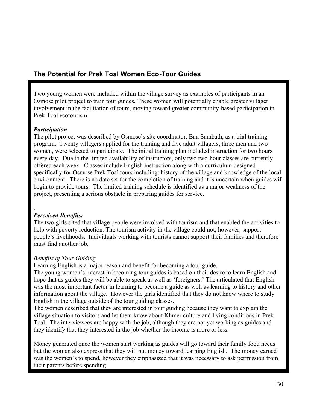### **The Potential for Prek Toal Women Eco-Tour Guides**

Two young women were included within the village survey as examples of participants in an Osmose pilot project to train tour guides. These women will potentially enable greater villager involvement in the facilitation of tours, moving toward greater community-based participation in Prek Toal ecotourism.

#### *Participation*

The pilot project was described by Osmose's site coordinator, Ban Sambath, as a trial training program. Twenty villagers applied for the training and five adult villagers, three men and two women, were selected to participate. The initial training plan included instruction for two hours every day. Due to the limited availability of instructors, only two two-hour classes are currently offered each week. Classes include English instruction along with a curriculum designed specifically for Osmose Prek Toal tours including: history of the village and knowledge of the local environment. There is no date set for the completion of training and it is uncertain when guides will begin to provide tours. The limited training schedule is identified as a major weakness of the project, presenting a serious obstacle in preparing guides for service.

#### . *Perceived Benefits:*

The two girls cited that village people were involved with tourism and that enabled the activities to help with poverty reduction. The tourism activity in the village could not, however, support people's livelihoods. Individuals working with tourists cannot support their families and therefore must find another job.

#### *Benefits of Tour Guiding*

Learning English is a major reason and benefit for becoming a tour guide.

The young women's interest in becoming tour guides is based on their desire to learn English and hope that as guides they will be able to speak as well as 'foreigners.' The articulated that English was the most important factor in learning to become a guide as well as learning to history and other information about the village. However the girls identified that they do not know where to study English in the village outside of the tour guiding classes.

The women described that they are interested in tour guiding because they want to explain the village situation to visitors and let them know about Khmer culture and living conditions in Prek Toal. The interviewees are happy with the job, although they are not yet working as guides and they identify that they interested in the job whether the income is more or less.

Money generated once the women start working as guides will go toward their family food needs but the women also express that they will put money toward learning English. The money earned was the women's to spend, however they emphasized that it was necessary to ask permission from their parents before spending.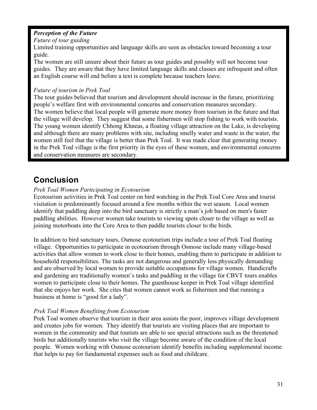#### *Perception of the Future*

#### *Future of tour guiding*

Limited training opportunities and language skills are seen as obstacles toward becoming a tour guide.

The women are still unsure about their future as tour guides and possibly will not become tour guides. They are aware that they have limited language skills and classes are infrequent and often an English course will end before a text is complete because teachers leave.

#### *Future of tourism in Prek Toal*

The tour guides believed that tourism and development should increase in the future, prioritizing people's welfare first with environmental concerns and conservation measures secondary. The women believe that local people will generate more money from tourism in the future and that the village will develop. They suggest that some fishermen will stop fishing to work with tourists. The young women identify Chhong Khneas, a floating village attraction on the Lake, is developing and although there are many problems with site, including smelly water and waste in the water, the women still feel that the village is better than Prek Toal. It was made clear that generating money in the Prek Toal village is the first priority in the eyes of these women, and environmental concerns and conservation measures are secondary.

# **Conclusion**

#### *Prek Toal Women Participating in Ecotourism*

Ecotourism activities in Prek Toal center on bird watching in the Prek Toal Core Area and tourist visitation is predominantly focused around a few months within the wet season. Local women identify that paddling deep into the bird sanctuary is strictly a man's job based on men's faster paddling abilities. However women take tourists to viewing spots closer to the village as well as joining motorboats into the Core Area to then paddle tourists closer to the birds.

In addition to bird sanctuary tours, Osmose ecotourism trips include a tour of Prek Toal floating village. Opportunities to participate in ecotourism through Osmose include many village-based activities that allow women to work close to their homes, enabling them to participate in addition to household responsibilities. The tasks are not dangerous and generally less physically demanding and are observed by local women to provide suitable occupations for village women. Handicrafts and gardening are traditionally women's tasks and paddling in the village for CBVT tours enables women to participate close to their homes. The guesthouse keeper in Prek Toal village identified that she enjoys her work. She cites that women cannot work as fishermen and that running a business at home is "good for a lady".

#### *Prek Toal Women Benefiting from Ecotourism*

Prek Toal women observe that tourism in their area assists the poor, improves village development and creates jobs for women. They identify that tourists are visiting places that are important to women in the community and that tourists are able to see special attractions such as the threatened birds but additionally tourists who visit the village become aware of the condition of the local people. Women working with Osmose ecotourism identify benefits including supplemental income that helps to pay for fundamental expenses such as food and childcare.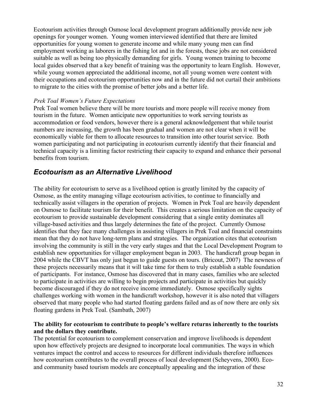Ecotourism activities through Osmose local development program additionally provide new job openings for younger women. Young women interviewed identified that there are limited opportunities for young women to generate income and while many young men can find employment working as laborers in the fishing lot and in the forests, these jobs are not considered suitable as well as being too physically demanding for girls. Young women training to become local guides observed that a key benefit of training was the opportunity to learn English. However, while young women appreciated the additional income, not all young women were content with their occupations and ecotourism opportunities now and in the future did not curtail their ambitions to migrate to the cities with the promise of better jobs and a better life.

#### *Prek Toal Women's Future Expectations*

Prek Toal women believe there will be more tourists and more people will receive money from tourism in the future. Women anticipate new opportunities to work serving tourists as accommodation or food vendors, however there is a general acknowledgement that while tourist numbers are increasing, the growth has been gradual and women are not clear when it will be economically viable for them to allocate resources to transition into other tourist service. Both women participating and not participating in ecotourism currently identify that their financial and technical capacity is a limiting factor restricting their capacity to expand and enhance their personal benefits from tourism.

### *Ecotourism as an Alternative Livelihood*

The ability for ecotourism to serve as a livelihood option is greatly limited by the capacity of Osmose, as the entity managing village ecotourism activities, to continue to financially and technically assist villagers in the operation of projects. Women in Prek Toal are heavily dependent on Osmose to facilitate tourism for their benefit. This creates a serious limitation on the capacity of ecotourism to provide sustainable development considering that a single entity dominates all village-based activities and thus largely determines the fate of the project. Currently Osmose identifies that they face many challenges in assisting villagers in Prek Toal and financial constraints mean that they do not have long-term plans and strategies. The organization cites that ecotourism involving the community is still in the very early stages and that the Local Development Program to establish new opportunities for villager employment began in 2003. The handicraft group began in 2004 while the CBVT has only just begun to guide guests on tours. (Bricout, 2007) The newness of these projects necessarily means that it will take time for them to truly establish a stable foundation of participants. For instance, Osmose has discovered that in many cases, families who are selected to participate in activities are willing to begin projects and participate in activities but quickly become discouraged if they do not receive income immediately. Osmose specifically sights challenges working with women in the handicraft workshop, however it is also noted that villagers observed that many people who had started floating gardens failed and as of now there are only six floating gardens in Prek Toal. (Sambath, 2007)

#### **The ability for ecotourism to contribute to people's welfare returns inherently to the tourists and the dollars they contribute.**

The potential for ecotourism to complement conservation and improve livelihoods is dependent upon how effectively projects are designed to incorporate local communities. The ways in which ventures impact the control and access to resources for different individuals therefore influences how ecotourism contributes to the overall process of local development (Scheyvens, 2000). Ecoand community based tourism models are conceptually appealing and the integration of these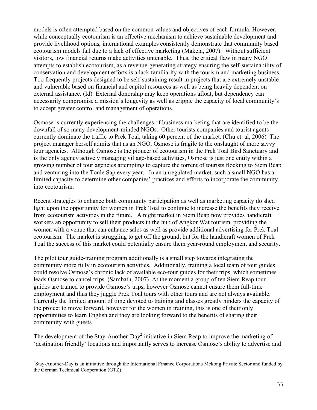models is often attempted based on the common values and objectives of each formula. However, while conceptually ecotourism is an effective mechanism to achieve sustainable development and provide livelihood options, international examples consistently demonstrate that community based ecotourism models fail due to a lack of effective marketing (Makela, 2007). Without sufficient visitors, low financial returns make activities untenable. Thus, the critical flaw in many NGO attempts to establish ecotourism, as a revenue-generating strategy ensuring the self-sustainability of conservation and development efforts is a lack familiarity with the tourism and marketing business. Too frequently projects designed to be self-sustaining result in projects that are extremely unstable and vulnerable based on financial and capitol resources as well as being heavily dependent on external assistance. (Id) External donorship may keep operations afloat, but dependency can necessarily compromise a mission's longevity as well as cripple the capacity of local community's to accept greater control and management of operations.

Osmose is currently experiencing the challenges of business marketing that are identified to be the downfall of so many development-minded NGOs. Other tourists companies and tourist agents currently dominate the traffic to Prek Toal, taking 60 percent of the market. (Chu et. al, 2006) The project manager herself admits that as an NGO, Osmose is fragile to the onslaught of more savvy tour agencies. Although Osmose is the pioneer of ecotourism in the Prek Toal Bird Sanctuary and is the only agency actively managing village-based activities, Osmose is just one entity within a growing number of tour agencies attempting to capture the torrent of tourists flocking to Siem Reap and venturing into the Tonle Sap every year. In an unregulated market, such a small NGO has a limited capacity to determine other companies' practices and efforts to incorporate the community into ecotourism.

Recent strategies to enhance both community participation as well as marketing capacity do shed light upon the opportunity for women in Prek Toal to continue to increase the benefits they receive from ecotourism activities in the future. A night market in Siem Reap now provides handicraft workers an opportunity to sell their products in the hub of Angkor Wat tourism, providing the women with a venue that can enhance sales as well as provide additional advertising for Prek Toal ecotourism. The market is struggling to get off the ground, but for the handicraft women of Prek Toal the success of this market could potentially ensure them year-round employment and security.

The pilot tour guide-training program additionally is a small step towards integrating the community more fully in ecotourism activities. Additionally, training a local team of tour guides could resolve Osmose's chronic lack of available eco-tour guides for their trips, which sometimes leads Osmose to cancel trips. (Sambath, 2007) At the moment a group of ten Siem Reap tour guides are trained to provide Osmose's trips, however Osmose cannot ensure them full-time employment and thus they juggle Prek Toal tours with other tours and are not always available. Currently the limited amount of time devoted to training and classes greatly hinders the capacity of the project to move forward, however for the women in training, this is one of their only opportunities to learn English and they are looking forward to the benefits of sharing their community with guests.

The development of the Stay-Another-Day<sup>2</sup> initiative in Siem Reap to improve the marketing of 'destination friendly' locations and importantly serves to increase Osmose's ability to advertise and

 $\frac{1}{2}$ <sup>2</sup>Stay-Another-Day is an initiative through the International Finance Corporations Mekong Private Sector and funded by the German Technical Cooperation (GTZ)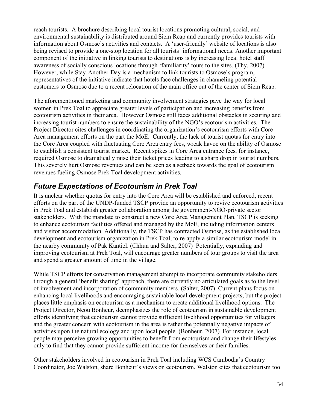reach tourists. A brochure describing local tourist locations promoting cultural, social, and environmental sustainability is distributed around Siem Reap and currently provides tourists with information about Osmose's activities and contacts. A 'user-friendly' website of locations is also being revised to provide a one-stop location for all tourists' informational needs. Another important component of the initiative in linking tourists to destinations is by increasing local hotel staff awareness of socially conscious locations through 'familiarity' tours to the sites. (Thy, 2007) However, while Stay-Another-Day is a mechanism to link tourists to Osmose's program, representatives of the initiative indicate that hotels face challenges in channeling potential customers to Osmose due to a recent relocation of the main office out of the center of Siem Reap.

The aforementioned marketing and community involvement strategies pave the way for local women in Prek Toal to appreciate greater levels of participation and increasing benefits from ecotourism activities in their area. However Osmose still faces additional obstacles in securing and increasing tourist numbers to ensure the sustainability of the NGO's ecotourism activities. The Project Director cites challenges in coordinating the organization's ecotourism efforts with Core Area management efforts on the part the MoE. Currently, the lack of tourist quotas for entry into the Core Area coupled with fluctuating Core Area entry fees, wreak havoc on the ability of Osmose to establish a consistent tourist market. Recent spikes in Core Area entrance fees, for instance, required Osmose to dramatically raise their ticket prices leading to a sharp drop in tourist numbers. This severely hurt Osmose revenues and can be seen as a setback towards the goal of ecotourism revenues fueling Osmose Prek Toal development activities.

# *Future Expectations of Ecotourism in Prek Toal*

It is unclear whether quotas for entry into the Core Area will be established and enforced, recent efforts on the part of the UNDP-funded TSCP provide an opportunity to revive ecotourism activities in Prek Toal and establish greater collaboration among the government-NGO-private sector stakeholders. With the mandate to construct a new Core Area Management Plan, TSCP is seeking to enhance ecotourism facilities offered and managed by the MoE, including information centers and visitor accommodation. Additionally, the TSCP has contracted Osmose, as the established local development and ecotourism organization in Prek Toal, to re-apply a similar ecotourism model in the nearby community of Pak Kantiel. (Chhun and Salter, 2007) Potentially, expanding and improving ecotourism at Prek Toal, will encourage greater numbers of tour groups to visit the area and spend a greater amount of time in the village.

While TSCP efforts for conservation management attempt to incorporate community stakeholders through a general 'benefit sharing' approach, there are currently no articulated goals as to the level of involvement and incorporation of community members. (Salter, 2007) Current plans focus on enhancing local livelihoods and encouraging sustainable local development projects, but the project places little emphasis on ecotourism as a mechanism to create additional livelihood options. The Project Director, Neou Bonheur, deemphasizes the role of ecotourism in sustainable development efforts identifying that ecotourism cannot provide sufficient livelihood opportunities for villagers and the greater concern with ecotourism in the area is rather the potentially negative impacts of activities upon the natural ecology and upon local people. (Bonheur, 2007) For instance, local people may perceive growing opportunities to benefit from ecotourism and change their lifestyles only to find that they cannot provide sufficient income for themselves or their families.

Other stakeholders involved in ecotourism in Prek Toal including WCS Cambodia's Country Coordinator, Joe Walston, share Bonheur's views on ecotourism. Walston cites that ecotourism too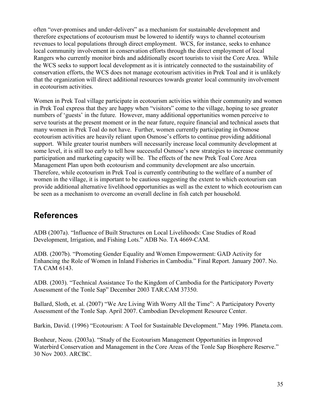often "over-promises and under-delivers" as a mechanism for sustainable development and therefore expectations of ecotourism must be lowered to identify ways to channel ecotourism revenues to local populations through direct employment. WCS, for instance, seeks to enhance local community involvement in conservation efforts through the direct employment of local Rangers who currently monitor birds and additionally escort tourists to visit the Core Area. While the WCS seeks to support local development as it is intricately connected to the sustainability of conservation efforts, the WCS does not manage ecotourism activities in Prek Toal and it is unlikely that the organization will direct additional resources towards greater local community involvement in ecotourism activities.

Women in Prek Toal village participate in ecotourism activities within their community and women in Prek Toal express that they are happy when "visitors" come to the village, hoping to see greater numbers of 'guests' in the future. However, many additional opportunities women perceive to serve tourists at the present moment or in the near future, require financial and technical assets that many women in Prek Toal do not have. Further, women currently participating in Osmose ecotourism activities are heavily reliant upon Osmose's efforts to continue providing additional support. While greater tourist numbers will necessarily increase local community development at some level, it is still too early to tell how successful Osmose's new strategies to increase community participation and marketing capacity will be. The effects of the new Prek Toal Core Area Management Plan upon both ecotourism and community development are also uncertain. Therefore, while ecotourism in Prek Toal is currently contributing to the welfare of a number of women in the village, it is important to be cautious suggesting the extent to which ecotourism can provide additional alternative livelihood opportunities as well as the extent to which ecotourism can be seen as a mechanism to overcome an overall decline in fish catch per household.

# **References**

ADB (2007a). "Influence of Built Structures on Local Livelihoods: Case Studies of Road Development, Irrigation, and Fishing Lots." ADB No. TA 4669-CAM.

ADB. (2007b). "Promoting Gender Equality and Women Empowerment: GAD Activity for Enhancing the Role of Women in Inland Fisheries in Cambodia." Final Report. January 2007. No. TA CAM 6143.

ADB. (2003). "Technical Assistance To the Kingdom of Cambodia for the Participatory Poverty Assessment of the Tonle Sap" December 2003 TAR:CAM 37350.

Ballard, Sloth, et. al. (2007) "We Are Living With Worry All the Time": A Participatory Poverty Assessment of the Tonle Sap. April 2007. Cambodian Development Resource Center.

Barkin, David. (1996) "Ecotourism: A Tool for Sustainable Development." May 1996. Planeta.com.

Bonheur, Neou. (2003a). "Study of the Ecotourism Management Opportunities in Improved Waterbird Conservation and Management in the Core Areas of the Tonle Sap Biosphere Reserve." 30 Nov 2003. ARCBC.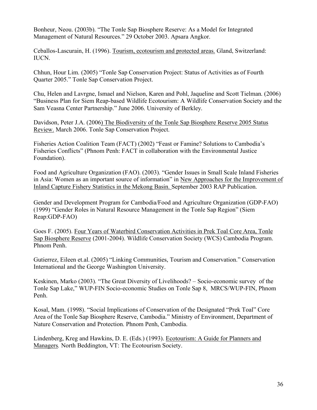Bonheur, Neou. (2003b). "The Tonle Sap Biosphere Reserve: As a Model for Integrated Management of Natural Resources." 29 October 2003. Apsara Angkor.

Ceballos-Lascurain, H. (1996). Tourism, ecotourism and protected areas. Gland, Switzerland: IUCN.

Chhun, Hour Lim. (2005) "Tonle Sap Conservation Project: Status of Activities as of Fourth Quarter 2005." Tonle Sap Conservation Project.

Chu, Helen and Lavrgne, Ismael and Nielson, Karen and Pohl, Jaqueline and Scott Tielman. (2006) "Business Plan for Siem Reap-based Wildlife Ecotourism: A Wildlife Conservation Society and the Sam Veasna Center Partnership." June 2006. University of Berkley.

Davidson, Peter J.A. (2006) The Biodiversity of the Tonle Sap Biosphere Reserve 2005 Status Review. March 2006. Tonle Sap Conservation Project.

Fisheries Action Coalition Team (FACT) (2002) "Feast or Famine? Solutions to Cambodia's Fisheries Conflicts" (Phnom Penh: FACT in collaboration with the Environmental Justice Foundation).

Food and Agriculture Organization (FAO). (2003). "Gender Issues in Small Scale Inland Fisheries in Asia: Women as an important source of information" in New Approaches for the Improvement of Inland Capture Fishery Statistics in the Mekong Basin. September 2003 RAP Publication.

Gender and Development Program for Cambodia/Food and Agriculture Organization (GDP-FAO) (1999) "Gender Roles in Natural Resource Management in the Tonle Sap Region" (Siem Reap:GDP-FAO)

Goes F. (2005). Four Years of Waterbird Conservation Activities in Prek Toal Core Area, Tonle Sap Biosphere Reserve (2001-2004). Wildlife Conservation Society (WCS) Cambodia Program. Phnom Penh.

Gutierrez, Eileen et.al. (2005) "Linking Communities, Tourism and Conservation." Conservation International and the George Washington University.

Keskinen, Marko (2003). "The Great Diversity of Livelihoods? – Socio-economic survey of the Tonle Sap Lake," WUP-FIN Socio-economic Studies on Tonle Sap 8, MRCS/WUP-FIN, Phnom Penh.

Kosal, Mam. (1998). "Social Implications of Conservation of the Designated "Prek Toal" Core Area of the Tonle Sap Biosphere Reserve, Cambodia." Ministry of Environment, Department of Nature Conservation and Protection. Phnom Penh, Cambodia.

Lindenberg, Kreg and Hawkins, D. E. (Eds.) (1993). Ecotourism: A Guide for Planners and Managers*.* North Beddington, VT: The Ecotourism Society.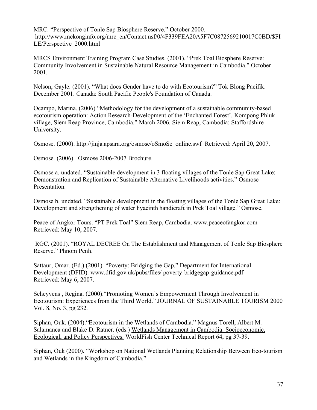MRC. "Perspective of Tonle Sap Biosphere Reserve." October 2000. http://www.mekonginfo.org/mrc\_en/Contact.nsf/0/4F339FEA20A5F7C0872569210017C0BD/\$FI LE/Perspective\_2000.html

MRCS Environment Training Program Case Studies. (2001). "Prek Toal Biosphere Reserve: Community Involvement in Sustainable Natural Resource Management in Cambodia." October 2001.

Nelson, Gayle. (2001). "What does Gender have to do with Ecotourism?" Tok Blong Pacifik. December 2001. Canada: South Pacific People's Foundation of Canada.

Ocampo, Marina. (2006) "Methodology for the development of a sustainable community-based ecotourism operation: Action Research-Development of the 'Enchanted Forest', Kompong Phluk village, Siem Reap Province, Cambodia." March 2006. Siem Reap, Cambodia: Staffordshire University.

Osmose. (2000). http://jinja.apsara.org/osmose/oSmoSe\_online.swf Retrieved: April 20, 2007.

Osmose. (2006). Osmose 2006-2007 Brochure.

Osmose a. undated. "Sustainable development in 3 floating villages of the Tonle Sap Great Lake: Demonstration and Replication of Sustainable Alternative Livelihoods activities." Osmose Presentation.

Osmose b. undated. "Sustainable development in the floating villages of the Tonle Sap Great Lake: Development and strengthening of water hyacinth handicraft in Prek Toal village." Osmose.

Peace of Angkor Tours. "PT Prek Toal" Siem Reap, Cambodia. www.peaceofangkor.com Retrieved: May 10, 2007.

RGC. (2001). "ROYAL DECREE On The Establishment and Management of Tonle Sap Biosphere Reserve." Phnom Penh.

Sattaur, Omar. (Ed.) (2001). "Poverty: Bridging the Gap." Department for International Development (DFID). www.dfid.gov.uk/pubs/files/ poverty-bridgegap-guidance.pdf Retrieved: May 6, 2007.

Scheyvens , Regina. (2000)."Promoting Women's Empowerment Through Involvement in Ecotourism: Experiences from the Third World." JOURNAL OF SUSTAINABLE TOURISM 2000 Vol. 8, No. 3, pg 232.

Siphan, Ouk. (2004)."Ecotourism in the Wetlands of Cambodia." Magnus Torell, Albert M. Salamanca and Blake D. Ratner. (eds.) Wetlands Management in Cambodia: Socioeconomic, Ecological, and Policy Perspectives. WorldFish Center Technical Report 64, pg 37-39.

Siphan, Ouk (2000). "Workshop on National Wetlands Planning Relationship Between Eco-tourism and Wetlands in the Kingdom of Cambodia."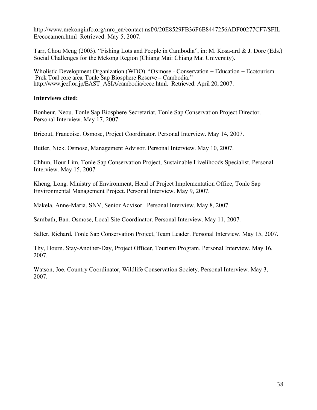http://www.mekonginfo.org/mrc\_en/contact.nsf/0/20E8529FB36F6E8447256ADF00277CF7/\$FIL E/ecocamen.html Retrieved: May 5, 2007.

Tarr, Chou Meng (2003). "Fishing Lots and People in Cambodia", in: M. Kosa-ard & J. Dore (Eds.) Social Challenges for the Mekong Region (Chiang Mai: Chiang Mai University).

Wholistic Development Organization (WDO) "Osmose - Conservation − Education − Ecotourism Prek Toal core area, Tonle Sap Biosphere Reserve – Cambodia." http://www.jeef.or.jp/EAST\_ASIA/cambodia/ocee.html. Retrieved: April 20, 2007.

#### **Interviews cited:**

Bonheur, Neou. Tonle Sap Biosphere Secretariat, Tonle Sap Conservation Project Director. Personal Interview. May 17, 2007.

Bricout, Francoise. Osmose, Project Coordinator. Personal Interview. May 14, 2007.

Butler, Nick. Osmose, Management Advisor. Personal Interview. May 10, 2007.

Chhun, Hour Lim. Tonle Sap Conservation Project, Sustainable Livelihoods Specialist. Personal Interview. May 15, 2007

Kheng, Long. Ministry of Environment, Head of Project Implementation Office, Tonle Sap Environmental Management Project. Personal Interview. May 9, 2007.

Makela, Anne-Maria. SNV, Senior Advisor. Personal Interview. May 8, 2007.

Sambath, Ban. Osmose, Local Site Coordinator. Personal Interview. May 11, 2007.

Salter, Richard. Tonle Sap Conservation Project, Team Leader. Personal Interview. May 15, 2007.

Thy, Hourn. Stay-Another-Day, Project Officer, Tourism Program. Personal Interview. May 16, 2007.

Watson, Joe. Country Coordinator, Wildlife Conservation Society. Personal Interview. May 3, 2007.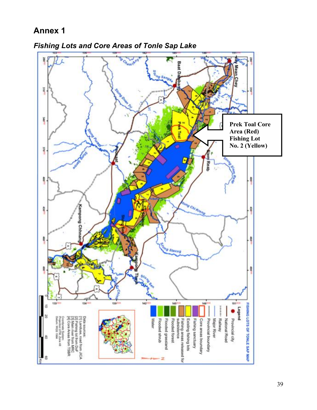

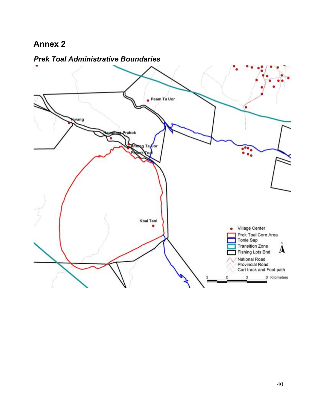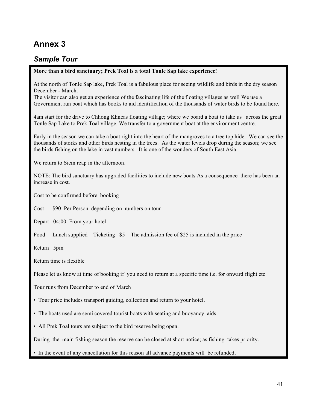# *Sample Tour*

#### **More than a bird sanctuary; Prek Toal is a total Tonle Sap lake experience!**

At the north of Tonle Sap lake, Prek Toal is a fabulous place for seeing wildlife and birds in the dry season December - March.

The visitor can also get an experience of the fascinating life of the floating villages as well We use a Government run boat which has books to aid identification of the thousands of water birds to be found here.

4am start for the drive to Chhong Khneas floating village; where we board a boat to take us across the great Tonle Sap Lake to Prek Toal village. We transfer to a government boat at the environment centre.

Early in the season we can take a boat right into the heart of the mangroves to a tree top hide. We can see the thousands of storks and other birds nesting in the trees. As the water levels drop during the season; we see the birds fishing on the lake in vast numbers. It is one of the wonders of South East Asia.

We return to Siem reap in the afternoon.

NOTE: The bird sanctuary has upgraded facilities to include new boats As a consequence there has been an increase in cost.

Cost to be confirmed before booking

Cost \$90 Per Person depending on numbers on tour

Depart 04:00 From your hotel

Food Lunch supplied Ticketing \$5 The admission fee of \$25 is included in the price

Return 5pm

Return time is flexible

Please let us know at time of booking if you need to return at a specific time i.e. for onward flight etc

Tour runs from December to end of March

- Tour price includes transport guiding, collection and return to your hotel.
- The boats used are semi covered tourist boats with seating and buoyancy aids
- All Prek Toal tours are subject to the bird reserve being open.

During the main fishing season the reserve can be closed at short notice; as fishing takes priority.

• In the event of any cancellation for this reason all advance payments will be refunded.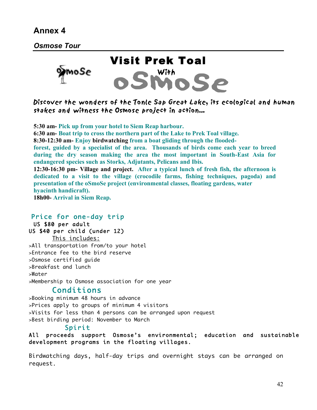*Osmose Tour*



Discover the wonders of the Tonle Sap Great Lake, its ecological and human stakes and witness the Osmose project in action…

**5:30 am- Pick up from your hotel to Siem Reap harbour. 6:30 am- Boat trip to cross the northern part of the Lake to Prek Toal village. 8:30-12:30 am- Enjoy birdwatching from a boat gliding through the floodedforest, guided by a specialist of the area. Thousands of birds come each year to breed during the dry season making the area the most important in South-East Asia for endangered species such as Storks, Adjutants, Pelicans and Ibis. 12:30-16:30 pm- Village and project. After a typical lunch of fresh fish, the afternoon is dedicated to a visit to the village (crocodile farms, fishing techniques, pagoda) and presentation of the oSmoSe project (environmental classes, floating gardens, water hyacinth handicraft). 18h00- Arrival in Siem Reap.**

#### Price for one-day trip

 US \$80 per adult US \$40 per child (under 12) This includes:

>All transportation from/to your hotel >Entrance fee to the bird reserve >Osmose certified guide >Breakfast and lunch >Water >Membership to Osmose association for one year

### Conditions

>Booking minimum 48 hours in advance >Prices apply to groups of minimum 4 visitors >Visits for less than 4 persons can be arranged upon request >Best birding period: November to March

#### Spirit

All proceeds support Osmose's environmental; education and sustainable development programs in the floating villages.

Birdwatching days, half-day trips and overnight stays can be arranged on request.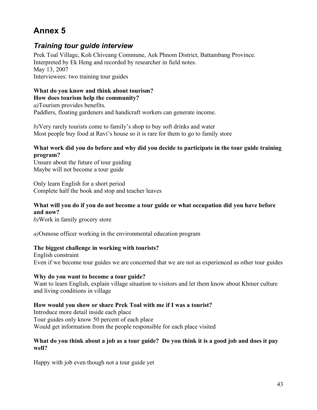### *Training tour guide interview*

Prek Toal Village, Koh Chiveang Commune, Aek Phnom District, Battambang Province. Interpreted by Ek Heng and recorded by researcher in field notes. May 13, 2007 Interviewees: two training tour guides

#### **What do you know and think about tourism? How does tourism help the community?**

*a)*Tourism provides benefits. Paddlers, floating gardeners and handicraft workers can generate income.

*b)*Very rarely tourists come to family's shop to buy soft drinks and water Most people buy food at Ravi's house so it is rare for them to go to family store

#### **What work did you do before and why did you decide to participate in the tour guide training program?**

Unsure about the future of tour guiding Maybe will not become a tour guide

Only learn English for a short period Complete half the book and stop and teacher leaves

#### **What will you do if you do not become a tour guide or what occupation did you have before and now?**

*b)*Work in family grocery store

*a)*Osmose officer working in the environmental education program

#### **The biggest challenge in working with tourists?**

English constraint Even if we become tour guides we are concerned that we are not as experienced as other tour guides

#### **Why do you want to become a tour guide?**

Want to learn English, explain village situation to visitors and let them know about Khmer culture and living conditions in village

#### **How would you show or share Prek Toal with me if I was a tourist?**

Introduce more detail inside each place Tour guides only know 50 percent of each place Would get information from the people responsible for each place visited

#### What do you think about a job as a tour guide? Do you think it is a good job and does it pay **well?**

Happy with job even though not a tour guide yet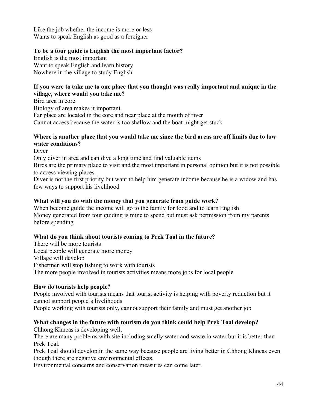Like the job whether the income is more or less Wants to speak English as good as a foreigner

#### **To be a tour guide is English the most important factor?**

English is the most important Want to speak English and learn history Nowhere in the village to study English

#### **If you were to take me to one place that you thought was really important and unique in the village, where would you take me?**

Bird area in core

Biology of area makes it important Far place are located in the core and near place at the mouth of river Cannot access because the water is too shallow and the boat might get stuck

#### **Where is another place that you would take me since the bird areas are off limits due to low water conditions?**

Diver

Only diver in area and can dive a long time and find valuable items

Birds are the primary place to visit and the most important in personal opinion but it is not possible to access viewing places

Diver is not the first priority but want to help him generate income because he is a widow and has few ways to support his livelihood

#### **What will you do with the money that you generate from guide work?**

When become guide the income will go to the family for food and to learn English Money generated from tour guiding is mine to spend but must ask permission from my parents before spending

#### **What do you think about tourists coming to Prek Toal in the future?**

There will be more tourists Local people will generate more money Village will develop Fishermen will stop fishing to work with tourists The more people involved in tourists activities means more jobs for local people

#### **How do tourists help people?**

People involved with tourists means that tourist activity is helping with poverty reduction but it cannot support people's livelihoods

People working with tourists only, cannot support their family and must get another job

#### **What changes in the future with tourism do you think could help Prek Toal develop?**

Chhong Khneas is developing well.

There are many problems with site including smelly water and waste in water but it is better than Prek Toal.

Prek Toal should develop in the same way because people are living better in Chhong Khneas even though there are negative environmental effects.

Environmental concerns and conservation measures can come later.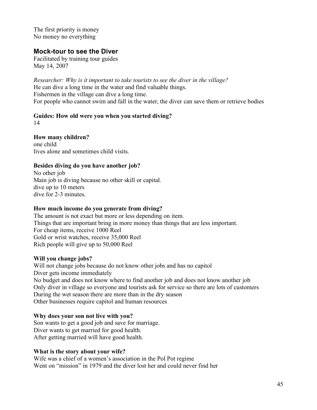The first priority is money No money no everything

### **Mock-tour to see the Diver**

Facilitated by training tour guides May 14, 2007

*Researcher: Why is it important to take tourists to see the diver in the village?* He can dive a long time in the water and find valuable things. Fishermen in the village can dive a long time. For people who cannot swim and fall in the water, the diver can save them or retrieve bodies

# **Guides: How old were you when you started diving?**

14

**How many children?**

one child lives alone and sometimes child visits.

#### **Besides diving do you have another job?**

No other job Main job is diving because no other skill or capital. dive up to 10 meters dive for 2-3 minutes.

#### **How much income do you generate from diving?**

The amount is not exact but more or less depending on item. Things that are important bring in more money than things that are less important. For cheap items, receive 1000 Reel Gold or wrist watches, receive 35,000 Reel Rich people will give up to 50,000 Reel

#### **Will you change jobs?**

Will not change jobs because do not know other jobs and has no capitol Diver gets income immediately No budget and does not know where to find another job and does not know another job Only diver in village so everyone and tourists ask for service so there are lots of customers During the wet season there are more than in the dry season Other businesses require capitol and human resources

#### **Why does your son not live with you?**

Son wants to get a good job and save for marriage. Diver wants to get married for good health. After getting married will have good health.

#### **What is the story about your wife?**

Wife was a chief of a women's association in the Pol Pot regime Went on "mission" in 1979 and the diver lost her and could never find her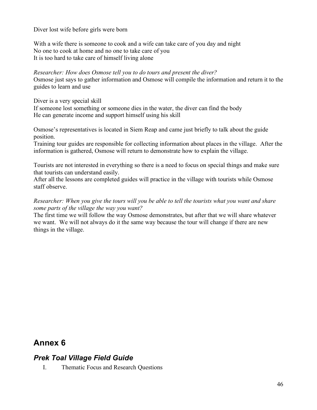Diver lost wife before girls were born

With a wife there is someone to cook and a wife can take care of you day and night No one to cook at home and no one to take care of you It is too hard to take care of himself living alone

*Researcher: How does Osmose tell you to do tours and present the diver?* Osmose just says to gather information and Osmose will compile the information and return it to the guides to learn and use

Diver is a very special skill

If someone lost something or someone dies in the water, the diver can find the body He can generate income and support himself using his skill

Osmose's representatives is located in Siem Reap and came just briefly to talk about the guide position.

Training tour guides are responsible for collecting information about places in the village. After the information is gathered, Osmose will return to demonstrate how to explain the village.

Tourists are not interested in everything so there is a need to focus on special things and make sure that tourists can understand easily.

After all the lessons are completed guides will practice in the village with tourists while Osmose staff observe.

*Researcher: When you give the tours will you be able to tell the tourists what you want and share some parts of the village the way you want?*

The first time we will follow the way Osmose demonstrates, but after that we will share whatever we want. We will not always do it the same way because the tour will change if there are new things in the village.

# **Annex 6**

### *Prek Toal Village Field Guide*

I. Thematic Focus and Research Questions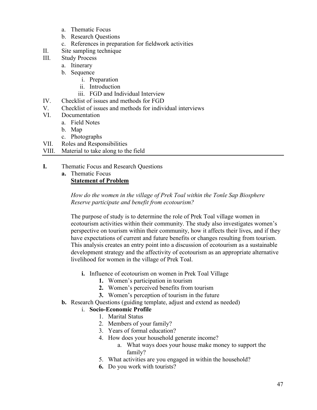- a. Thematic Focus
- b. Research Questions
- c. References in preparation for fieldwork activities
- II. Site sampling technique
- III. Study Process
	- a. Itinerary
	- b. Sequence
		- i. Preparation
		- ii. Introduction
		- iii. FGD and Individual Interview
- IV. Checklist of issues and methods for FGD
- V. Checklist of issues and methods for individual interviews
- VI. Documentation
	- a. Field Notes
	- b. Map
	- c. Photographs
- VII. Roles and Responsibilities
- VIII. Material to take along to the field
- **I.** Thematic Focus and Research Questions
	- **a.** Thematic Focus **Statement of Problem**

*How do the women in the village of Prek Toal within the Tonle Sap Biosphere Reserve participate and benefit from ecotourism?*

The purpose of study is to determine the role of Prek Toal village women in ecotourism activities within their community. The study also investigates women's perspective on tourism within their community, how it affects their lives, and if they have expectations of current and future benefits or changes resulting from tourism. This analysis creates an entry point into a discussion of ecotourism as a sustainable development strategy and the affectivity of ecotourism as an appropriate alternative livelihood for women in the village of Prek Toal.

- **i.** Influence of ecotourism on women in Prek Toal Village
	- **1.** Women's participation in tourism
	- **2.** Women's perceived benefits from tourism
	- **3.** Women's perception of tourism in the future
- **b.** Research Questions (guiding template, adjust and extend as needed)

#### i. **Socio-Economic Profile**

- 1. Marital Status
- 2. Members of your family?
- 3. Years of formal education?
- 4. How does your household generate income?
	- a. What ways does your house make money to support the family?
- 5. What activities are you engaged in within the household?
- **6.** Do you work with tourists?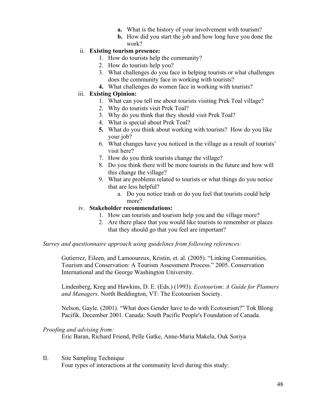- **a.** What is the history of your involvement with tourism?
- **b.** How did you start the job and how long have you done the work?

#### ii. **Existing tourism presence:**

- 1. How do tourists help the community?
- 2. How do tourists help you?
- 3. What challenges do you face in helping tourists or what challenges does the community face in working with tourists?
- **4.** What challenges do women face in working with tourists?

#### iii. **Existing Opinion:**

- 1. What can you tell me about tourists visiting Prek Toal village?
	- 2. Why do tourists visit Prek Toal?
	- 3. Why do you think that they should visit Prek Toal?
	- 4. What is special about Prek Toal?
	- **5.** What do you think about working with tourists? How do you like your job?
	- 6. What changes have you noticed in the village as a result of tourists' visit here?
	- 7. How do you think tourists change the village?
	- 8. Do you think there will be more tourists in the future and how will this change the village?
	- 9. What are problems related to tourists or what things do you notice that are less helpful?
		- a. Do you notice trash or do you feel that tourists could help more?

#### iv. **Stakeholder recommendations:**

- 1. How can tourists and tourism help you and the village more?
- 2. Are there place that you would like tourists to remember or places that they should go that you feel are important?

#### *Survey and questionnaire approach using guidelines from following references:*

Gutierrez, Eileen, and Lamooureux, Kristin, et. al. (2005). "Linking Communities, Tourism and Conservation: A Tourism Assessment Process." 2005. Conservation International and the George Washington University.

Lindenberg, Kreg and Hawkins, D. E. (Eds.) (1993). *Ecotourism*: *A Guide for Planners and Managers.* North Beddington, VT: The Ecotourism Society.

Nelson, Gayle. (2001). "What does Gender have to do with Ecotourism?" Tok Blong Pacifik. December 2001. Canada: South Pacific People's Foundation of Canada.

#### *Proofing and advising from:*

Eric Baran, Richard Friend, Pelle Gatke, Anne-Maria Makela, Ouk Soriya

#### II. Site Sampling Technique

Four types of interactions at the community level during this study: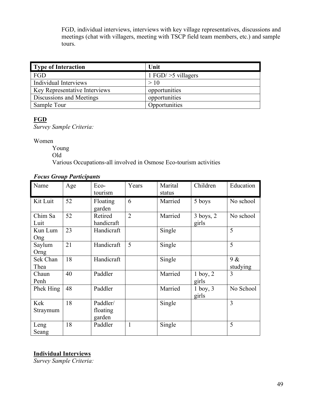FGD, individual interviews, interviews with key village representatives, discussions and meetings (chat with villagers, meeting with TSCP field team members, etc.) and sample tours.

| Type of Interaction           | Unit                    |
|-------------------------------|-------------------------|
| FGD                           | 1 $FGD \ge 5$ villagers |
| Individual Interviews         | >10                     |
| Key Representative Interviews | opportunities           |
| Discussions and Meetings      | opportunities           |
| Sample Tour                   | Opportunities           |

#### **FGD**

*Survey Sample Criteria:*

Women

Young

Old

Various Occupations-all involved in Osmose Eco-tourism activities

#### *Focus Group Participants*

| Name             | Age | Eco-<br>tourism                | Years          | Marital<br>status | Children               | Education       |
|------------------|-----|--------------------------------|----------------|-------------------|------------------------|-----------------|
| Kit Luit         | 52  | Floating<br>garden             | 6              | Married           | 5 boys                 | No school       |
| Chim Sa<br>Luit  | 52  | Retired<br>handicraft          | $\overline{2}$ | Married           | $3$ boys, $2$<br>girls | No school       |
| Kun Lum<br>Ong   | 23  | Handicraft                     |                | Single            |                        | 5               |
| Saylum<br>Orng   | 21  | Handicraft                     | 5              | Single            |                        | 5               |
| Sek Chan<br>Thea | 18  | Handicraft                     |                | Single            |                        | 9 &<br>studying |
| Chaun<br>Penh    | 40  | Paddler                        |                | Married           | $1$ boy, $2$<br>girls  | 3               |
| Phek Hing        | 48  | Paddler                        |                | Married           | $1$ boy, $3$<br>girls  | No School       |
| Kek<br>Straymum  | 18  | Paddler/<br>floating<br>garden |                | Single            |                        | 3               |
| Leng<br>Seang    | 18  | Paddler                        | $\mathbf{1}$   | Single            |                        | 5               |

#### **Individual Interviews**

*Survey Sample Criteria:*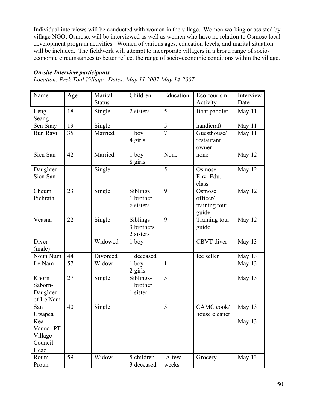Individual interviews will be conducted with women in the village. Women working or assisted by village NGO, Osmose, will be interviewed as well as women who have no relation to Osmose local development program activities. Women of various ages, education levels, and marital situation will be included. The fieldwork will attempt to incorporate villagers in a broad range of socioeconomic circumstances to better reflect the range of socio-economic conditions within the village.

#### *On-site Interview participants*

*Location: Prek Toal Village Dates: May 11 2007-May 14-2007*

| Name                                          | Age | Marital       | Children                            | Education      | Eco-tourism                                  | Interview |
|-----------------------------------------------|-----|---------------|-------------------------------------|----------------|----------------------------------------------|-----------|
|                                               |     | <b>Status</b> |                                     |                | Activity                                     | Date      |
| Leng<br>Seang                                 | 18  | Single        | 2 sisters                           | 5              | Boat paddler                                 | May 11    |
| Sen Snay                                      | 19  | Single        |                                     | 5              | handicraft                                   | May 11    |
| <b>Bun Ravi</b>                               | 35  | Married       | $1$ boy<br>4 girls                  | $\overline{7}$ | Guesthouse/<br>restaurant<br>owner           | May 11    |
| Sien San                                      | 42  | Married       | $1$ boy<br>8 girls                  | None           | none                                         | May 12    |
| Daughter<br>Sien San                          |     | Single        |                                     | 5              | Osmose<br>Env. Edu.<br>class                 | May 12    |
| Cheum<br>Pichrath                             | 23  | Single        | Siblings<br>1 brother<br>6 sisters  | 9              | Osmose<br>officer/<br>training tour<br>guide | May 12    |
| Veasna                                        | 22  | Single        | Siblings<br>3 brothers<br>2 sisters | 9              | Training tour<br>guide                       | May 12    |
| Diver<br>(male)                               |     | Widowed       | $1$ boy                             |                | CBVT diver                                   | May 13    |
| Noun Num                                      | 44  | Divorced      | 1 deceased                          |                | Ice seller                                   | May 13    |
| Le Nam                                        | 57  | Widow         | $1$ boy<br>$2$ girls                | $\mathbf{1}$   |                                              | May 13    |
| Khorn<br>Saborn-<br>Daughter<br>of Le Nam     | 27  | Single        | Siblings-<br>1 brother<br>1 sister  | 5              |                                              | May 13    |
| San<br>Utsapea                                | 40  | Single        |                                     | 5              | CAMC cook/<br>house cleaner                  | May 13    |
| Kea<br>Vanna-PT<br>Village<br>Council<br>Head |     |               |                                     |                |                                              | May 13    |
| Roum<br>Proun                                 | 59  | Widow         | 5 children<br>3 deceased            | A few<br>weeks | Grocery                                      | May 13    |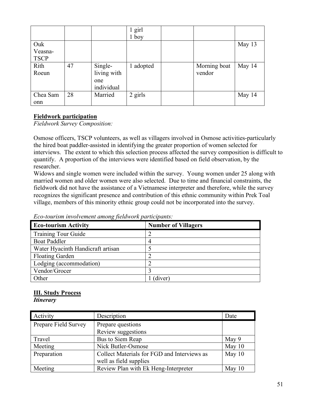|                               |    |                                             | $1$ girl<br>$1$ boy |                        |        |
|-------------------------------|----|---------------------------------------------|---------------------|------------------------|--------|
| Ouk<br>Veasna-<br><b>TSCP</b> |    |                                             |                     |                        | May 13 |
| Rith<br>Roeun                 | 47 | Single-<br>living with<br>one<br>individual | adopted             | Morning boat<br>vendor | May 14 |
| Chea Sam<br>onn               | 28 | Married                                     | 2 girls             |                        | May 14 |

#### **Fieldwork participation**

*Fieldwork Survey Composition:*

Osmose officers, TSCP volunteers, as well as villagers involved in Osmose activities-particularly the hired boat paddler-assisted in identifying the greater proportion of women selected for interviews. The extent to which this selection process affected the survey composition is difficult to quantify. A proportion of the interviews were identified based on field observation, by the researcher.

Widows and single women were included within the survey. Young women under 25 along with married women and older women were also selected. Due to time and financial constraints, the fieldwork did not have the assistance of a Vietnamese interpreter and therefore, while the survey recognizes the significant presence and contribution of this ethnic community within Prek Toal village, members of this minority ethnic group could not be incorporated into the survey.

| $\cdot \cdot \cdot$               |                            |
|-----------------------------------|----------------------------|
| <b>Eco-tourism Activity</b>       | <b>Number of Villagers</b> |
| <b>Training Tour Guide</b>        |                            |
| <b>Boat Paddler</b>               |                            |
| Water Hyacinth Handicraft artisan |                            |
| <b>Floating Garden</b>            |                            |
| Lodging (accommodation)           |                            |
| Vendor/Grocer                     |                            |
| Other                             | (diver)                    |

*Eco-tourism involvement among fieldwork participants:*

#### **III. Study Process**

*Itinerary*

| Activity             | Description                                 | Date     |
|----------------------|---------------------------------------------|----------|
| Prepare Field Survey | Prepare questions                           |          |
|                      | Review suggestions                          |          |
| Travel               | Bus to Siem Reap                            | May 9    |
| Meeting              | Nick Butler-Osmose                          | May $10$ |
| Preparation          | Collect Materials for FGD and Interviews as | May 10   |
|                      | well as field supplies                      |          |
| Meeting              | Review Plan with Ek Heng-Interpreter        | May $10$ |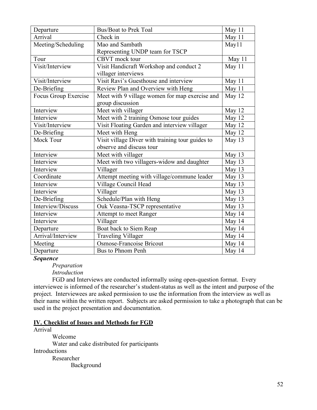| Departure            | <b>Bus/Boat to Prek Toal</b>                     | May 11   |
|----------------------|--------------------------------------------------|----------|
| Arrival              | Check in                                         | May 11   |
| Meeting/Scheduling   | Mao and Sambath                                  | May11    |
|                      | Representing UNDP team for TSCP                  |          |
| Tour                 | CBVT mock tour                                   | May $11$ |
| Visit/Interview      | Visit Handicraft Workshop and conduct 2          | May 11   |
|                      | villager interviews                              |          |
| Visit/Interview      | Visit Ravi's Guesthouse and interview            | May 11   |
| De-Briefing          | Review Plan and Overview with Heng               | May 11   |
| Focus Group Exercise | Meet with 9 village women for map exercise and   | May 12   |
|                      | group discussion                                 |          |
| Interview            | Meet with villager                               | May 12   |
| Interview            | Meet with 2 training Osmose tour guides          | May 12   |
| Visit/Interview      | Visit Floating Garden and interview villager     | May 12   |
| De-Briefing          | Meet with Heng                                   | May 12   |
| <b>Mock Tour</b>     | Visit village Diver with training tour guides to | May 13   |
|                      | observe and discuss tour                         |          |
| Interview            | Meet with villager                               | May 13   |
| Interview            | Meet with two villagers-widow and daughter       | May 13   |
| Interview            | Villager                                         | May 13   |
| Coordinate           | Attempt meeting with village/commune leader      | May 13   |
| Interview            | Village Council Head                             | May 13   |
| Interview            | Villager                                         | May 13   |
| De-Briefing          | Schedule/Plan with Heng                          | May 13   |
| Interview/Discuss    | Ouk Veasna-TSCP representative                   | May 13   |
| Interview            | Attempt to meet Ranger                           | May 14   |
| Interview            | Villager                                         | May 14   |
| Departure            | Boat back to Siem Reap                           | May 14   |
| Arrival/Interview    | <b>Traveling Villager</b>                        | May 14   |
| Meeting              | Osmose-Francoise Bricout                         | May 14   |
| Departure            | Bus to Phnom Penh                                | May 14   |

*Sequence*

*Preparation Introduction*

FGD and Interviews are conducted informally using open-question format. Every interviewee is informed of the researcher's student-status as well as the intent and purpose of the project. Interviewees are asked permission to use the information from the interview as well as their name within the written report. Subjects are asked permission to take a photograph that can be used in the project presentation and documentation.

#### **IV. Checklist of Issues and Methods for FGD**

Arrival

Welcome Water and cake distributed for participants **Introductions** Researcher

Background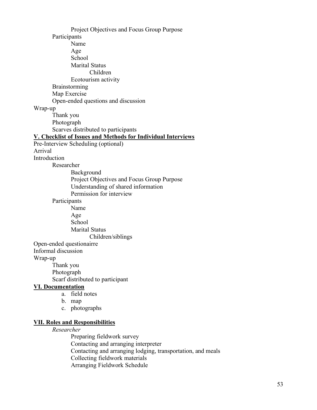Project Objectives and Focus Group Purpose Participants Name Age School Marital Status Children Ecotourism activity Brainstorming Map Exercise Open-ended questions and discussion Wrap-up Thank you Photograph Scarves distributed to participants **V. Checklist of Issues and Methods for Individual Interviews** Pre-Interview Scheduling (optional) Arrival Introduction Researcher Background Project Objectives and Focus Group Purpose Understanding of shared information Permission for interview Participants Name Age School Marital Status Children/siblings Open-ended questionairre Informal discussion Wrap-up Thank you Photograph Scarf distributed to participant **VI. Documentation** a. field notes b. map c. photographs **VII. Roles and Responsibilities** *Researcher*

Preparing fieldwork survey Contacting and arranging interpreter Contacting and arranging lodging, transportation, and meals Collecting fieldwork materials Arranging Fieldwork Schedule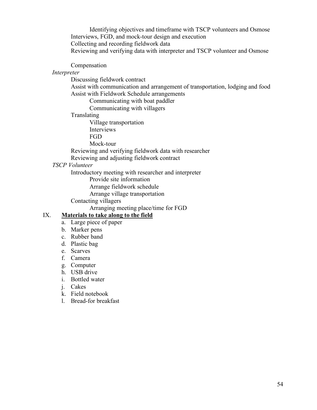Identifying objectives and timeframe with TSCP volunteers and Osmose Interviews, FGD, and mock-tour design and execution Collecting and recording fieldwork data Reviewing and verifying data with interpreter and TSCP volunteer and Osmose

Compensation

*Interpreter*

Discussing fieldwork contract

Assist with communication and arrangement of transportation, lodging and food Assist with Fieldwork Schedule arrangements

Communicating with boat paddler

Communicating with villagers

Translating

Village transportation Interviews

FGD

Mock-tour

Reviewing and verifying fieldwork data with researcher

Reviewing and adjusting fieldwork contract

#### *TSCP Volunteer*

Introductory meeting with researcher and interpreter

Provide site information

Arrange fieldwork schedule

Arrange village transportation

Contacting villagers

Arranging meeting place/time for FGD

#### IX. **Materials to take along to the field**

- a. Large piece of paper
- b. Marker pens
- c. Rubber band
- d. Plastic bag
- e. Scarves
- f. Camera
- g. Computer
- h. USB drive
- i. Bottled water
- j. Cakes
- k. Field notebook
- l. Bread-for breakfast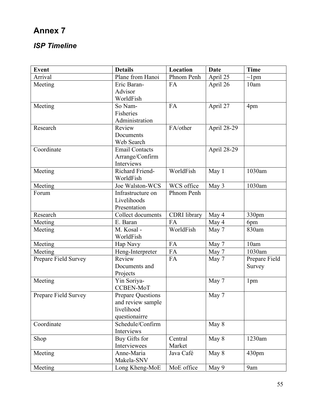# *ISP Timeline*

| <b>Event</b>         | <b>Details</b>           | Location            | <b>Date</b> | <b>Time</b>   |
|----------------------|--------------------------|---------------------|-------------|---------------|
| Arrival              | Plane from Hanoi         | Phnom Penh          | April 25    | $\sim$ 1pm    |
| Meeting              | Eric Baran-              | FA                  | April 26    | 10am          |
|                      | Advisor                  |                     |             |               |
|                      | WorldFish                |                     |             |               |
| Meeting              | So Nam-                  | FA                  | April 27    | 4pm           |
|                      | Fisheries                |                     |             |               |
|                      | Administration           |                     |             |               |
| Research             | Review                   | FA/other            | April 28-29 |               |
|                      | Documents                |                     |             |               |
|                      | Web Search               |                     |             |               |
| Coordinate           | <b>Email Contacts</b>    |                     | April 28-29 |               |
|                      | Arrange/Confirm          |                     |             |               |
|                      | Interviews               |                     |             |               |
| Meeting              | Richard Friend-          | WorldFish           | May 1       | 1030am        |
|                      | WorldFish                |                     |             |               |
| Meeting              | Joe Walston-WCS          | WCS office          | May 3       | 1030am        |
| Forum                | Infrastructure on        | Phnom Penh          |             |               |
|                      | Livelihoods              |                     |             |               |
|                      | Presentation             |                     |             |               |
| Research             | Collect documents        | <b>CDRI</b> library | May 4       | 330pm         |
| Meeting              | E. Baran                 | FA                  | May 4       | 6pm           |
| Meeting              | M. Kosal -               | WorldFish           | May 7       | 830am         |
|                      | WorldFish                |                     |             |               |
| Meeting              | Hap Navy                 | FA                  | May 7       | 10am          |
| Meeting              | Heng-Interpreter         | FA                  | May 7       | 1030am        |
| Prepare Field Survey | Review                   | FA                  | May 7       | Prepare Field |
|                      | Documents and            |                     |             | Survey        |
|                      | Projects                 |                     |             |               |
| Meeting              | Yin Soriya-              |                     | May 7       | 1pm           |
|                      | CCBEN-MoT                |                     |             |               |
| Prepare Field Survey | <b>Prepare Questions</b> |                     | May 7       |               |
|                      | and review sample        |                     |             |               |
|                      | livelihood               |                     |             |               |
|                      | questionairre            |                     |             |               |
| Coordinate           | Schedule/Confirm         |                     | May 8       |               |
|                      | Interviews               |                     |             |               |
| Shop                 | Buy Gifts for            | Central             | May 8       | 1230am        |
|                      | Interviewees             | Market              |             |               |
| Meeting              | Anne-Maria               | Java Café           | May 8       | 430pm         |
|                      | Makela-SNV               |                     |             |               |
| Meeting              | Long Kheng-MoE           | MoE office          | May 9       | 9am           |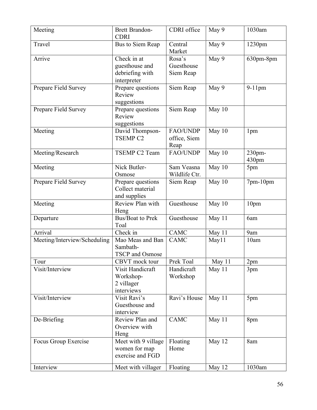| Meeting                      | <b>Brett Brandon-</b><br><b>CDRI</b>                            | CDRI office                             | May 9  | 1030am          |
|------------------------------|-----------------------------------------------------------------|-----------------------------------------|--------|-----------------|
| Travel                       | Bus to Siem Reap                                                | Central<br>Market                       | May 9  | 1230pm          |
| Arrive                       | Check in at<br>guesthouse and<br>debriefing with<br>interpreter | Rosa's<br>Guesthouse<br>Siem Reap       | May 9  | 630pm-8pm       |
| Prepare Field Survey         | Prepare questions<br>Review<br>suggestions                      | Siem Reap                               | May 9  | $9-11$ pm       |
| Prepare Field Survey         | Prepare questions<br>Review<br>suggestions                      | Siem Reap                               | May 10 |                 |
| Meeting                      | David Thompson-<br><b>TSEMP C2</b>                              | <b>FAO/UNDP</b><br>office, Siem<br>Reap | May 10 | 1 <sub>pm</sub> |
| Meeting/Research             | TSEMP C2 Team                                                   | FAO/UNDP                                | May 10 | 230pm-<br>430pm |
| Meeting                      | Nick Butler-<br>Osmose                                          | Sam Veasna<br>Wildlife Ctr.             | May 10 | 5pm             |
| Prepare Field Survey         | Prepare questions<br>Collect material<br>and supplies           | Siem Reap                               | May 10 | $7$ pm- $10$ pm |
| Meeting                      | Review Plan with<br>Heng                                        | Guesthouse                              | May 10 | 10pm            |
| Departure                    | <b>Bus/Boat to Prek</b><br>Toal                                 | Guesthouse                              | May 11 | 6am             |
| Arrival                      | Check in                                                        | <b>CAMC</b>                             | May 11 | 9am             |
| Meeting/Interview/Scheduling | Mao Meas and Ban<br>Sambath-<br>TSCP and Osmose                 | <b>CAMC</b>                             | May11  | 10am            |
| Tour                         | CBVT mock tour                                                  | Prek Toal                               | May 11 | 2pm             |
| Visit/Interview              | Visit Handicraft<br>Workshop-<br>2 villager<br>interviews       | Handicraft<br>Workshop                  | May 11 | 3pm             |
| Visit/Interview              | Visit Ravi's<br>Guesthouse and<br>interview                     | Ravi's House                            | May 11 | 5pm             |
| De-Briefing                  | Review Plan and<br>Overview with<br>Heng                        | <b>CAMC</b>                             | May 11 | 8pm             |
| Focus Group Exercise         | Meet with 9 village<br>women for map<br>exercise and FGD        | Floating<br>Home                        | May 12 | 8am             |
| Interview                    | Meet with villager                                              | Floating                                | May 12 | 1030am          |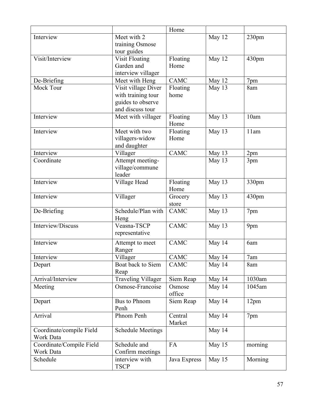|                                       |                                                                                    | Home              |        |                  |
|---------------------------------------|------------------------------------------------------------------------------------|-------------------|--------|------------------|
| Interview                             | Meet with 2<br>training Osmose<br>tour guides                                      |                   | May 12 | 230pm            |
| Visit/Interview                       | <b>Visit Floating</b><br>Garden and<br>interview villager                          | Floating<br>Home  | May 12 | 430pm            |
| De-Briefing                           | Meet with Heng                                                                     | <b>CAMC</b>       | May 12 | 7pm              |
| Mock Tour                             | Visit village Diver<br>with training tour<br>guides to observe<br>and discuss tour | Floating<br>home  | May 13 | 8am              |
| Interview                             | Meet with villager                                                                 | Floating<br>Home  | May 13 | 10am             |
| Interview                             | Meet with two<br>villagers-widow<br>and daughter                                   | Floating<br>Home  | May 13 | 11am             |
| Interview                             | Villager                                                                           | <b>CAMC</b>       | May 13 | 2pm              |
| Coordinate                            | Attempt meeting-<br>village/commune<br>leader                                      |                   | May 13 | 3pm              |
| Interview                             | Village Head                                                                       | Floating<br>Home  | May 13 | 330pm            |
| Interview                             | Villager                                                                           | Grocery<br>store  | May 13 | 430pm            |
| De-Briefing                           | Schedule/Plan with<br>Heng                                                         | <b>CAMC</b>       | May 13 | 7pm              |
| Interview/Discuss                     | Veasna-TSCP<br>representative                                                      | <b>CAMC</b>       | May 13 | 9pm              |
| Interview                             | Attempt to meet<br>Ranger                                                          | <b>CAMC</b>       | May 14 | 6am              |
| Interview                             | Villager                                                                           | CAMC              | May 14 | 7am              |
| Depart                                | Boat back to Siem<br>Reap                                                          | <b>CAMC</b>       | May 14 | 8am              |
| Arrival/Interview                     | <b>Traveling Villager</b>                                                          | Siem Reap         | May 14 | 1030am           |
| Meeting                               | Osmose-Francoise                                                                   | Osmose<br>office  | May 14 | 1045am           |
| Depart                                | <b>Bus to Phnom</b><br>Penh                                                        | Siem Reap         | May 14 | 12 <sub>pm</sub> |
| Arrival                               | Phnom Penh                                                                         | Central<br>Market | May 14 | 7pm              |
| Coordinate/compile Field<br>Work Data | <b>Schedule Meetings</b>                                                           |                   | May 14 |                  |
| Coordinate/Compile Field<br>Work Data | Schedule and<br>Confirm meetings                                                   | FA                | May 15 | morning          |
| Schedule                              | interview with<br><b>TSCP</b>                                                      | Java Express      | May 15 | Morning          |